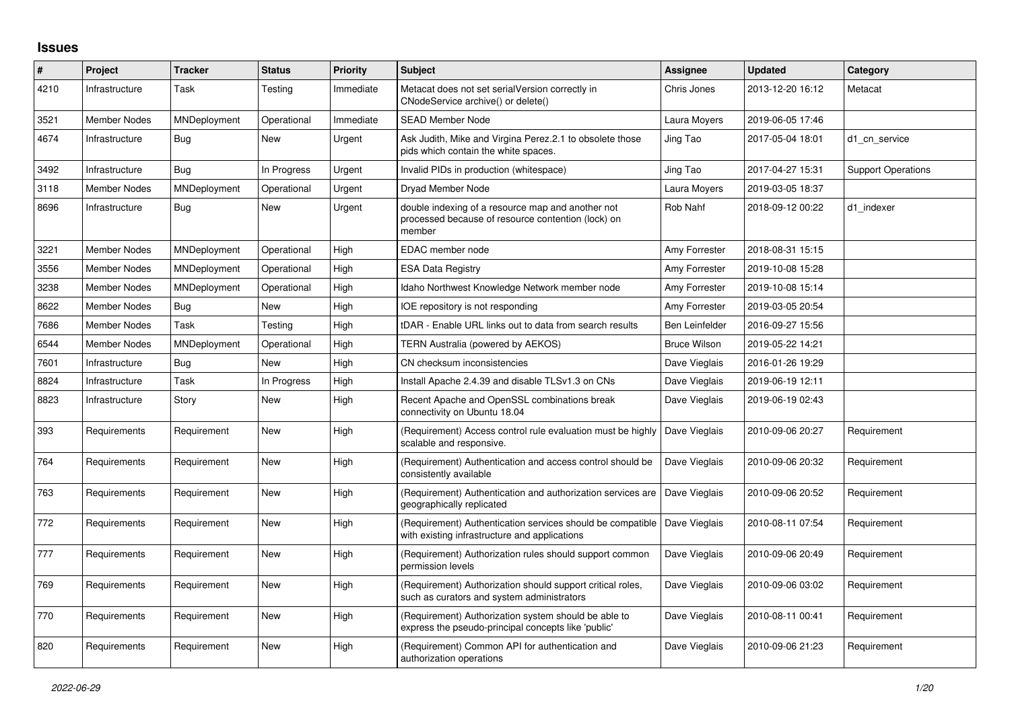## **Issues**

| #    | Project             | <b>Tracker</b> | <b>Status</b> | <b>Priority</b> | <b>Subject</b>                                                                                                    | Assignee              | <b>Updated</b>   | Category                  |
|------|---------------------|----------------|---------------|-----------------|-------------------------------------------------------------------------------------------------------------------|-----------------------|------------------|---------------------------|
| 4210 | Infrastructure      | Task           | Testing       | Immediate       | Metacat does not set serialVersion correctly in<br>CNodeService archive() or delete()                             | Chris Jones           | 2013-12-20 16:12 | Metacat                   |
| 3521 | <b>Member Nodes</b> | MNDeployment   | Operational   | Immediate       | <b>SEAD Member Node</b>                                                                                           | Laura Moyers          | 2019-06-05 17:46 |                           |
| 4674 | Infrastructure      | Bug            | New           | Urgent          | Ask Judith, Mike and Virgina Perez.2.1 to obsolete those<br>pids which contain the white spaces.                  | Jing Tao              | 2017-05-04 18:01 | d1 cn service             |
| 3492 | Infrastructure      | Bug            | In Progress   | Urgent          | Invalid PIDs in production (whitespace)                                                                           | Jing Tao              | 2017-04-27 15:31 | <b>Support Operations</b> |
| 3118 | <b>Member Nodes</b> | MNDeployment   | Operational   | Urgent          | Dryad Member Node                                                                                                 | Laura Moyers          | 2019-03-05 18:37 |                           |
| 8696 | Infrastructure      | <b>Bug</b>     | New           | Urgent          | double indexing of a resource map and another not<br>processed because of resource contention (lock) on<br>member | Rob Nahf              | 2018-09-12 00:22 | d1 indexer                |
| 3221 | <b>Member Nodes</b> | MNDeployment   | Operational   | High            | EDAC member node                                                                                                  | Amy Forrester         | 2018-08-31 15:15 |                           |
| 3556 | <b>Member Nodes</b> | MNDeployment   | Operational   | High            | <b>ESA Data Registry</b>                                                                                          | Amy Forrester         | 2019-10-08 15:28 |                           |
| 3238 | Member Nodes        | MNDeployment   | Operational   | High            | Idaho Northwest Knowledge Network member node                                                                     | Amy Forrester         | 2019-10-08 15:14 |                           |
| 8622 | <b>Member Nodes</b> | <b>Bug</b>     | <b>New</b>    | High            | IOE repository is not responding                                                                                  | Amy Forrester         | 2019-03-05 20:54 |                           |
| 7686 | <b>Member Nodes</b> | Task           | Testing       | High            | tDAR - Enable URL links out to data from search results                                                           | <b>Ben Leinfelder</b> | 2016-09-27 15:56 |                           |
| 6544 | <b>Member Nodes</b> | MNDeployment   | Operational   | High            | TERN Australia (powered by AEKOS)                                                                                 | <b>Bruce Wilson</b>   | 2019-05-22 14:21 |                           |
| 7601 | Infrastructure      | <b>Bug</b>     | <b>New</b>    | High            | CN checksum inconsistencies                                                                                       | Dave Vieglais         | 2016-01-26 19:29 |                           |
| 8824 | Infrastructure      | Task           | In Progress   | High            | Install Apache 2.4.39 and disable TLSv1.3 on CNs                                                                  | Dave Vieglais         | 2019-06-19 12:11 |                           |
| 8823 | Infrastructure      | Story          | New           | High            | Recent Apache and OpenSSL combinations break<br>connectivity on Ubuntu 18.04                                      | Dave Vieglais         | 2019-06-19 02:43 |                           |
| 393  | Requirements        | Requirement    | New           | High            | (Requirement) Access control rule evaluation must be highly<br>scalable and responsive.                           | Dave Vieglais         | 2010-09-06 20:27 | Requirement               |
| 764  | Requirements        | Requirement    | New           | High            | (Requirement) Authentication and access control should be<br>consistently available                               | Dave Vieglais         | 2010-09-06 20:32 | Requirement               |
| 763  | Requirements        | Requirement    | New           | High            | (Requirement) Authentication and authorization services are<br>geographically replicated                          | Dave Vieglais         | 2010-09-06 20:52 | Requirement               |
| 772  | Requirements        | Requirement    | New           | High            | (Requirement) Authentication services should be compatible<br>with existing infrastructure and applications       | Dave Vieglais         | 2010-08-11 07:54 | Requirement               |
| 777  | Requirements        | Requirement    | New           | High            | (Requirement) Authorization rules should support common<br>permission levels                                      | Dave Vieglais         | 2010-09-06 20:49 | Requirement               |
| 769  | Requirements        | Requirement    | New           | High            | (Requirement) Authorization should support critical roles,<br>such as curators and system administrators          | Dave Vieglais         | 2010-09-06 03:02 | Requirement               |
| 770  | Requirements        | Requirement    | New           | High            | (Requirement) Authorization system should be able to<br>express the pseudo-principal concepts like 'public'       | Dave Vieglais         | 2010-08-11 00:41 | Requirement               |
| 820  | Requirements        | Requirement    | New           | High            | (Requirement) Common API for authentication and<br>authorization operations                                       | Dave Vieglais         | 2010-09-06 21:23 | Requirement               |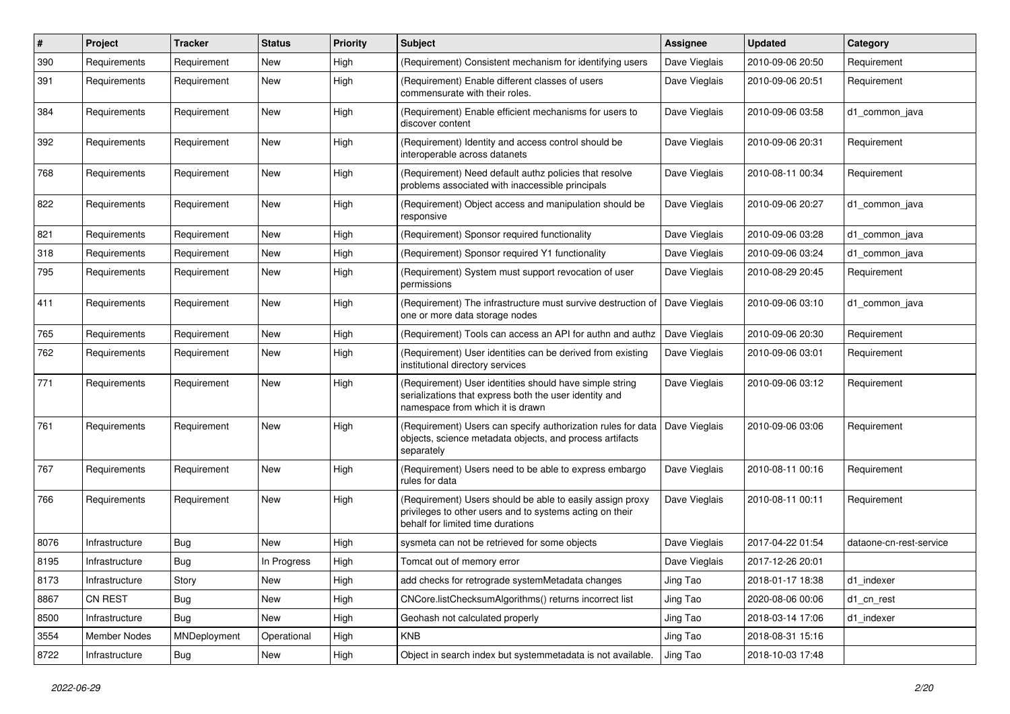| #    | Project             | <b>Tracker</b> | <b>Status</b> | <b>Priority</b> | <b>Subject</b>                                                                                                                                             | Assignee      | <b>Updated</b>   | Category                |
|------|---------------------|----------------|---------------|-----------------|------------------------------------------------------------------------------------------------------------------------------------------------------------|---------------|------------------|-------------------------|
| 390  | Requirements        | Requirement    | <b>New</b>    | High            | (Requirement) Consistent mechanism for identifying users                                                                                                   | Dave Vieglais | 2010-09-06 20:50 | Requirement             |
| 391  | Requirements        | Requirement    | New           | High            | (Requirement) Enable different classes of users<br>commensurate with their roles.                                                                          | Dave Vieglais | 2010-09-06 20:51 | Requirement             |
| 384  | Requirements        | Requirement    | New           | High            | (Requirement) Enable efficient mechanisms for users to<br>discover content                                                                                 | Dave Vieglais | 2010-09-06 03:58 | d1 common java          |
| 392  | Requirements        | Requirement    | <b>New</b>    | High            | (Requirement) Identity and access control should be<br>interoperable across datanets                                                                       | Dave Vieglais | 2010-09-06 20:31 | Requirement             |
| 768  | Requirements        | Requirement    | New           | High            | (Requirement) Need default authz policies that resolve<br>problems associated with inaccessible principals                                                 | Dave Vieglais | 2010-08-11 00:34 | Requirement             |
| 822  | Requirements        | Requirement    | New           | High            | (Requirement) Object access and manipulation should be<br>responsive                                                                                       | Dave Vieglais | 2010-09-06 20:27 | d1 common java          |
| 821  | Requirements        | Requirement    | <b>New</b>    | High            | (Requirement) Sponsor required functionality                                                                                                               | Dave Vieglais | 2010-09-06 03:28 | d1_common_java          |
| 318  | Requirements        | Requirement    | <b>New</b>    | High            | (Requirement) Sponsor required Y1 functionality                                                                                                            | Dave Vieglais | 2010-09-06 03:24 | d1 common java          |
| 795  | Requirements        | Requirement    | New           | High            | (Requirement) System must support revocation of user<br>permissions                                                                                        | Dave Vieglais | 2010-08-29 20:45 | Requirement             |
| 411  | Requirements        | Requirement    | New           | High            | (Requirement) The infrastructure must survive destruction of<br>one or more data storage nodes                                                             | Dave Vieglais | 2010-09-06 03:10 | d1_common_java          |
| 765  | Requirements        | Requirement    | <b>New</b>    | High            | (Requirement) Tools can access an API for authn and authz                                                                                                  | Dave Vieglais | 2010-09-06 20:30 | Requirement             |
| 762  | Requirements        | Requirement    | New           | High            | (Requirement) User identities can be derived from existing<br>institutional directory services                                                             | Dave Vieglais | 2010-09-06 03:01 | Requirement             |
| 771  | Requirements        | Requirement    | New           | High            | (Requirement) User identities should have simple string<br>serializations that express both the user identity and<br>namespace from which it is drawn      | Dave Vieglais | 2010-09-06 03:12 | Requirement             |
| 761  | Requirements        | Requirement    | New           | High            | (Requirement) Users can specify authorization rules for data<br>objects, science metadata objects, and process artifacts<br>separately                     | Dave Vieglais | 2010-09-06 03:06 | Requirement             |
| 767  | Requirements        | Requirement    | New           | High            | (Requirement) Users need to be able to express embargo<br>rules for data                                                                                   | Dave Vieglais | 2010-08-11 00:16 | Requirement             |
| 766  | Requirements        | Requirement    | New           | High            | (Requirement) Users should be able to easily assign proxy<br>privileges to other users and to systems acting on their<br>behalf for limited time durations | Dave Vieglais | 2010-08-11 00:11 | Requirement             |
| 8076 | Infrastructure      | <b>Bug</b>     | <b>New</b>    | High            | sysmeta can not be retrieved for some objects                                                                                                              | Dave Vieglais | 2017-04-22 01:54 | dataone-cn-rest-service |
| 8195 | Infrastructure      | <b>Bug</b>     | In Progress   | High            | Tomcat out of memory error                                                                                                                                 | Dave Vieglais | 2017-12-26 20:01 |                         |
| 8173 | Infrastructure      | Story          | New           | High            | add checks for retrograde systemMetadata changes                                                                                                           | Jing Tao      | 2018-01-17 18:38 | d1_indexer              |
| 8867 | CN REST             | Bug            | New           | High            | CNCore.listChecksumAlgorithms() returns incorrect list                                                                                                     | Jing Tao      | 2020-08-06 00:06 | d1_cn_rest              |
| 8500 | Infrastructure      | Bug            | New           | High            | Geohash not calculated properly                                                                                                                            | Jing Tao      | 2018-03-14 17:06 | d1 indexer              |
| 3554 | <b>Member Nodes</b> | MNDeployment   | Operational   | High            | <b>KNB</b>                                                                                                                                                 | Jing Tao      | 2018-08-31 15:16 |                         |
| 8722 | Infrastructure      | Bug            | New           | High            | Object in search index but systemmetadata is not available.                                                                                                | Jing Tao      | 2018-10-03 17:48 |                         |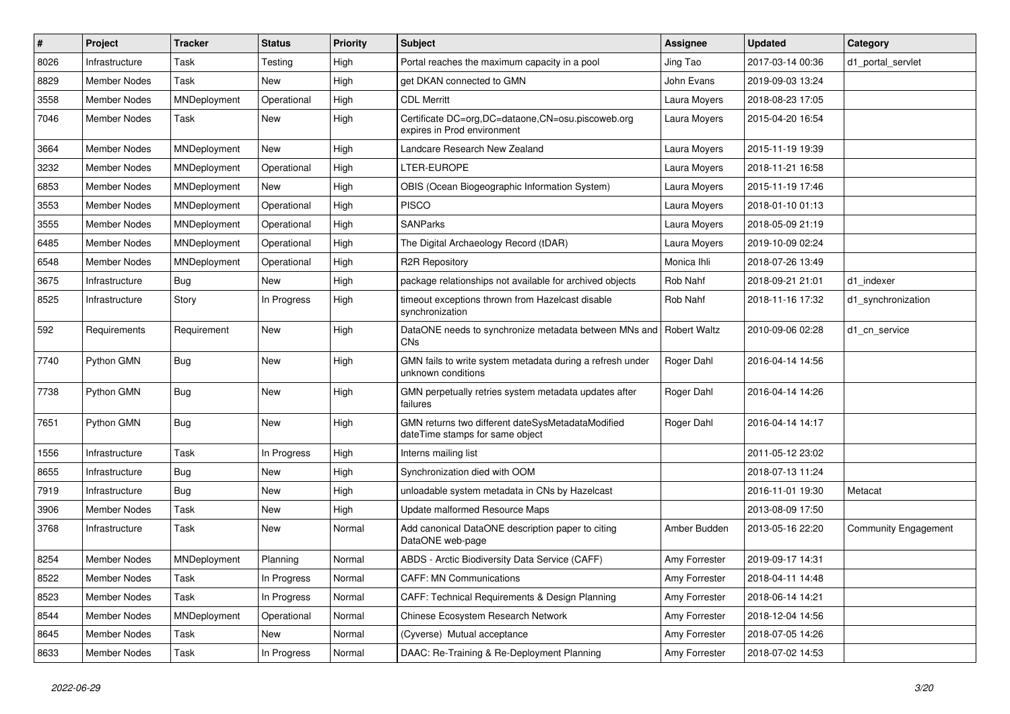| $\#$ | Project             | <b>Tracker</b>      | <b>Status</b> | <b>Priority</b> | <b>Subject</b>                                                                       | <b>Assignee</b> | <b>Updated</b>   | Category                    |
|------|---------------------|---------------------|---------------|-----------------|--------------------------------------------------------------------------------------|-----------------|------------------|-----------------------------|
| 8026 | Infrastructure      | Task                | Testing       | High            | Portal reaches the maximum capacity in a pool                                        | Jing Tao        | 2017-03-14 00:36 | d1 portal servlet           |
| 8829 | <b>Member Nodes</b> | Task                | New           | High            | get DKAN connected to GMN                                                            | John Evans      | 2019-09-03 13:24 |                             |
| 3558 | <b>Member Nodes</b> | MNDeployment        | Operational   | High            | <b>CDL Merritt</b>                                                                   | Laura Moyers    | 2018-08-23 17:05 |                             |
| 7046 | Member Nodes        | Task                | New           | High            | Certificate DC=org, DC=dataone, CN=osu.piscoweb.org<br>expires in Prod environment   | Laura Moyers    | 2015-04-20 16:54 |                             |
| 3664 | <b>Member Nodes</b> | MNDeployment        | New           | High            | Landcare Research New Zealand                                                        | Laura Moyers    | 2015-11-19 19:39 |                             |
| 3232 | <b>Member Nodes</b> | MNDeployment        | Operational   | High            | LTER-EUROPE                                                                          | Laura Moyers    | 2018-11-21 16:58 |                             |
| 6853 | <b>Member Nodes</b> | MNDeployment        | New           | High            | OBIS (Ocean Biogeographic Information System)                                        | Laura Moyers    | 2015-11-19 17:46 |                             |
| 3553 | <b>Member Nodes</b> | MNDeployment        | Operational   | High            | <b>PISCO</b>                                                                         | Laura Moyers    | 2018-01-10 01:13 |                             |
| 3555 | <b>Member Nodes</b> | MNDeployment        | Operational   | High            | <b>SANParks</b>                                                                      | Laura Moyers    | 2018-05-09 21:19 |                             |
| 6485 | <b>Member Nodes</b> | MNDeployment        | Operational   | High            | The Digital Archaeology Record (tDAR)                                                | Laura Moyers    | 2019-10-09 02:24 |                             |
| 6548 | Member Nodes        | <b>MNDeployment</b> | Operational   | High            | <b>R2R Repository</b>                                                                | Monica Ihli     | 2018-07-26 13:49 |                             |
| 3675 | Infrastructure      | <b>Bug</b>          | New           | High            | package relationships not available for archived objects                             | Rob Nahf        | 2018-09-21 21:01 | d1 indexer                  |
| 8525 | Infrastructure      | Story               | In Progress   | High            | timeout exceptions thrown from Hazelcast disable<br>synchronization                  | Rob Nahf        | 2018-11-16 17:32 | d1_synchronization          |
| 592  | Requirements        | Requirement         | New           | High            | DataONE needs to synchronize metadata between MNs and   Robert Waltz<br><b>CNs</b>   |                 | 2010-09-06 02:28 | d1 cn service               |
| 7740 | Python GMN          | Bug                 | New           | High            | GMN fails to write system metadata during a refresh under<br>unknown conditions      | Roger Dahl      | 2016-04-14 14:56 |                             |
| 7738 | Python GMN          | Bug                 | New           | High            | GMN perpetually retries system metadata updates after<br>failures                    | Roger Dahl      | 2016-04-14 14:26 |                             |
| 7651 | Python GMN          | Bug                 | New           | High            | GMN returns two different dateSysMetadataModified<br>dateTime stamps for same object | Roger Dahl      | 2016-04-14 14:17 |                             |
| 1556 | Infrastructure      | Task                | In Progress   | High            | Interns mailing list                                                                 |                 | 2011-05-12 23:02 |                             |
| 8655 | Infrastructure      | <b>Bug</b>          | New           | High            | Synchronization died with OOM                                                        |                 | 2018-07-13 11:24 |                             |
| 7919 | Infrastructure      | <b>Bug</b>          | <b>New</b>    | High            | unloadable system metadata in CNs by Hazelcast                                       |                 | 2016-11-01 19:30 | Metacat                     |
| 3906 | Member Nodes        | Task                | <b>New</b>    | High            | Update malformed Resource Maps                                                       |                 | 2013-08-09 17:50 |                             |
| 3768 | Infrastructure      | Task                | New           | Normal          | Add canonical DataONE description paper to citing<br>DataONE web-page                | Amber Budden    | 2013-05-16 22:20 | <b>Community Engagement</b> |
| 8254 | Member Nodes        | MNDeployment        | Planning      | Normal          | ABDS - Arctic Biodiversity Data Service (CAFF)                                       | Amy Forrester   | 2019-09-17 14:31 |                             |
| 8522 | Member Nodes        | Task                | In Progress   | Normal          | <b>CAFF: MN Communications</b>                                                       | Amy Forrester   | 2018-04-11 14:48 |                             |
| 8523 | Member Nodes        | Task                | In Progress   | Normal          | CAFF: Technical Requirements & Design Planning                                       | Amy Forrester   | 2018-06-14 14:21 |                             |
| 8544 | Member Nodes        | MNDeployment        | Operational   | Normal          | Chinese Ecosystem Research Network                                                   | Amy Forrester   | 2018-12-04 14:56 |                             |
| 8645 | Member Nodes        | Task                | New           | Normal          | (Cyverse) Mutual acceptance                                                          | Amy Forrester   | 2018-07-05 14:26 |                             |
| 8633 | Member Nodes        | Task                | In Progress   | Normal          | DAAC: Re-Training & Re-Deployment Planning                                           | Amy Forrester   | 2018-07-02 14:53 |                             |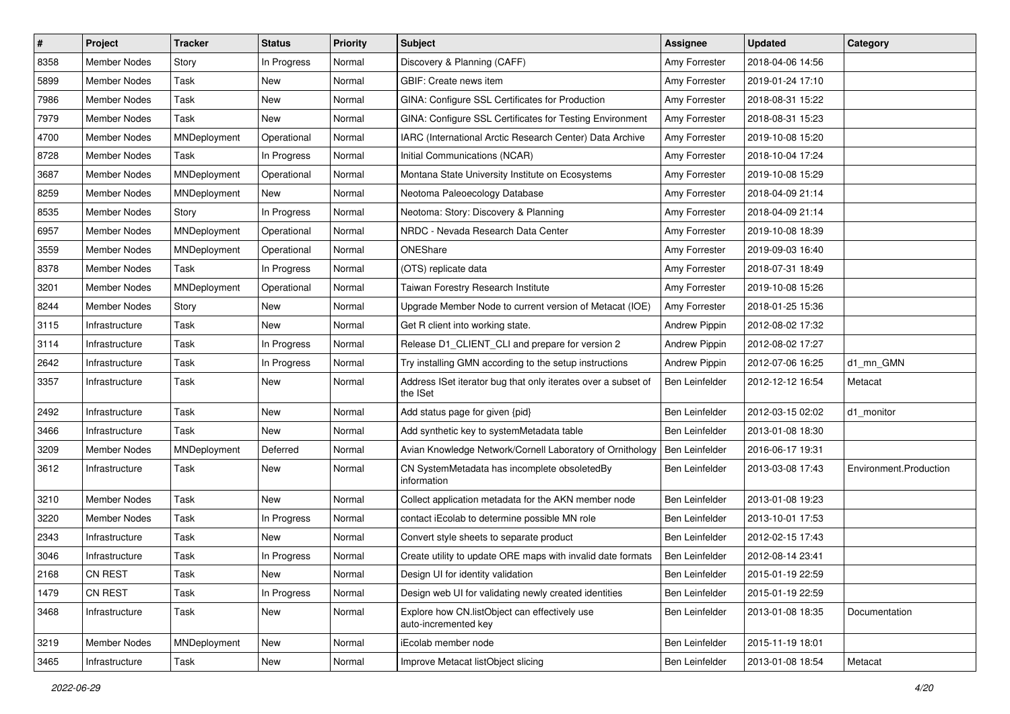| #    | Project             | <b>Tracker</b> | <b>Status</b> | <b>Priority</b> | Subject                                                                   | Assignee             | <b>Updated</b>   | Category               |
|------|---------------------|----------------|---------------|-----------------|---------------------------------------------------------------------------|----------------------|------------------|------------------------|
| 8358 | <b>Member Nodes</b> | Story          | In Progress   | Normal          | Discovery & Planning (CAFF)                                               | Amy Forrester        | 2018-04-06 14:56 |                        |
| 5899 | <b>Member Nodes</b> | Task           | New           | Normal          | GBIF: Create news item                                                    | Amy Forrester        | 2019-01-24 17:10 |                        |
| 7986 | <b>Member Nodes</b> | Task           | New           | Normal          | GINA: Configure SSL Certificates for Production                           | Amy Forrester        | 2018-08-31 15:22 |                        |
| 7979 | Member Nodes        | Task           | New           | Normal          | GINA: Configure SSL Certificates for Testing Environment                  | Amy Forrester        | 2018-08-31 15:23 |                        |
| 4700 | <b>Member Nodes</b> | MNDeployment   | Operational   | Normal          | IARC (International Arctic Research Center) Data Archive                  | Amy Forrester        | 2019-10-08 15:20 |                        |
| 8728 | Member Nodes        | Task           | In Progress   | Normal          | Initial Communications (NCAR)                                             | Amy Forrester        | 2018-10-04 17:24 |                        |
| 3687 | <b>Member Nodes</b> | MNDeployment   | Operational   | Normal          | Montana State University Institute on Ecosystems                          | Amy Forrester        | 2019-10-08 15:29 |                        |
| 8259 | <b>Member Nodes</b> | MNDeployment   | New           | Normal          | Neotoma Paleoecology Database                                             | Amy Forrester        | 2018-04-09 21:14 |                        |
| 8535 | <b>Member Nodes</b> | Story          | In Progress   | Normal          | Neotoma: Story: Discovery & Planning                                      | Amy Forrester        | 2018-04-09 21:14 |                        |
| 6957 | <b>Member Nodes</b> | MNDeployment   | Operational   | Normal          | NRDC - Nevada Research Data Center                                        | Amy Forrester        | 2019-10-08 18:39 |                        |
| 3559 | <b>Member Nodes</b> | MNDeployment   | Operational   | Normal          | ONEShare                                                                  | Amy Forrester        | 2019-09-03 16:40 |                        |
| 8378 | Member Nodes        | Task           | In Progress   | Normal          | (OTS) replicate data                                                      | Amy Forrester        | 2018-07-31 18:49 |                        |
| 3201 | Member Nodes        | MNDeployment   | Operational   | Normal          | Taiwan Forestry Research Institute                                        | Amy Forrester        | 2019-10-08 15:26 |                        |
| 8244 | <b>Member Nodes</b> | Story          | New           | Normal          | Upgrade Member Node to current version of Metacat (IOE)                   | Amy Forrester        | 2018-01-25 15:36 |                        |
| 3115 | Infrastructure      | Task           | New           | Normal          | Get R client into working state.                                          | <b>Andrew Pippin</b> | 2012-08-02 17:32 |                        |
| 3114 | Infrastructure      | Task           | In Progress   | Normal          | Release D1_CLIENT_CLI and prepare for version 2                           | <b>Andrew Pippin</b> | 2012-08-02 17:27 |                        |
| 2642 | Infrastructure      | Task           | In Progress   | Normal          | Try installing GMN according to the setup instructions                    | <b>Andrew Pippin</b> | 2012-07-06 16:25 | d1_mn_GMN              |
| 3357 | Infrastructure      | Task           | New           | Normal          | Address ISet iterator bug that only iterates over a subset of<br>the ISet | Ben Leinfelder       | 2012-12-12 16:54 | Metacat                |
| 2492 | Infrastructure      | Task           | <b>New</b>    | Normal          | Add status page for given {pid}                                           | Ben Leinfelder       | 2012-03-15 02:02 | d1_monitor             |
| 3466 | Infrastructure      | Task           | New           | Normal          | Add synthetic key to systemMetadata table                                 | Ben Leinfelder       | 2013-01-08 18:30 |                        |
| 3209 | <b>Member Nodes</b> | MNDeployment   | Deferred      | Normal          | Avian Knowledge Network/Cornell Laboratory of Ornithology                 | Ben Leinfelder       | 2016-06-17 19:31 |                        |
| 3612 | Infrastructure      | Task           | New           | Normal          | CN SystemMetadata has incomplete obsoletedBy<br>information               | Ben Leinfelder       | 2013-03-08 17:43 | Environment.Production |
| 3210 | Member Nodes        | Task           | New           | Normal          | Collect application metadata for the AKN member node                      | Ben Leinfelder       | 2013-01-08 19:23 |                        |
| 3220 | <b>Member Nodes</b> | Task           | In Progress   | Normal          | contact iEcolab to determine possible MN role                             | Ben Leinfelder       | 2013-10-01 17:53 |                        |
| 2343 | Infrastructure      | Task           | New           | Normal          | Convert style sheets to separate product                                  | Ben Leinfelder       | 2012-02-15 17:43 |                        |
| 3046 | Infrastructure      | Task           | In Progress   | Normal          | Create utility to update ORE maps with invalid date formats               | Ben Leinfelder       | 2012-08-14 23:41 |                        |
| 2168 | <b>CN REST</b>      | Task           | New           | Normal          | Design UI for identity validation                                         | Ben Leinfelder       | 2015-01-19 22:59 |                        |
| 1479 | CN REST             | Task           | In Progress   | Normal          | Design web UI for validating newly created identities                     | Ben Leinfelder       | 2015-01-19 22:59 |                        |
| 3468 | Infrastructure      | Task           | New           | Normal          | Explore how CN.listObject can effectively use<br>auto-incremented key     | Ben Leinfelder       | 2013-01-08 18:35 | Documentation          |
| 3219 | Member Nodes        | MNDeployment   | New           | Normal          | iEcolab member node                                                       | Ben Leinfelder       | 2015-11-19 18:01 |                        |
| 3465 | Infrastructure      | Task           | New           | Normal          | Improve Metacat listObject slicing                                        | Ben Leinfelder       | 2013-01-08 18:54 | Metacat                |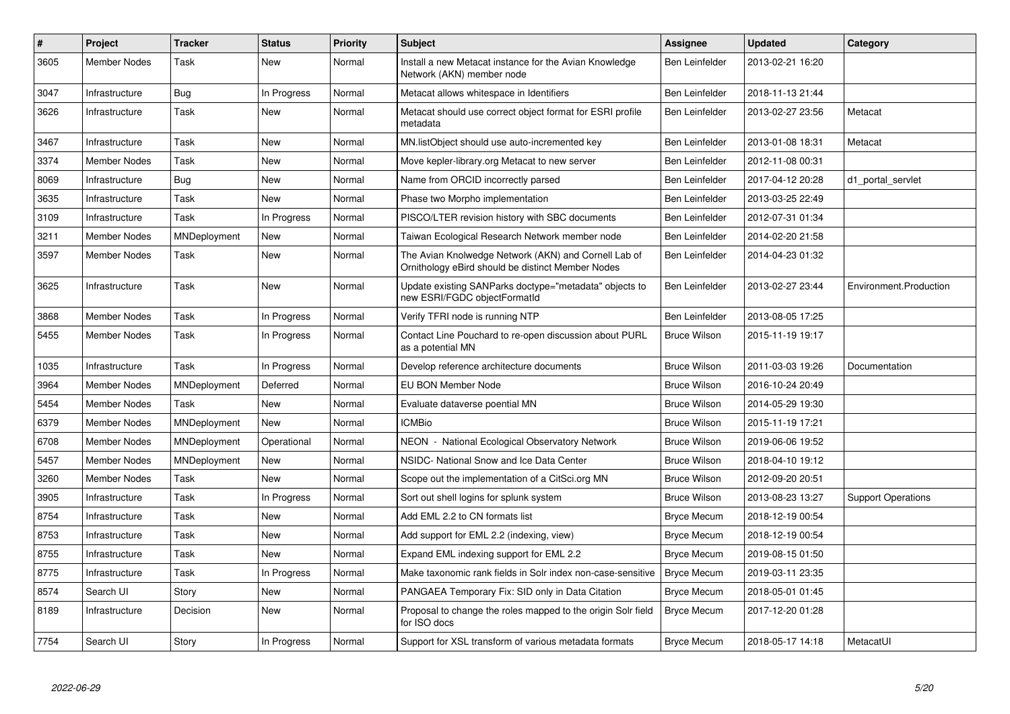| $\vert$ # | Project             | <b>Tracker</b> | <b>Status</b> | <b>Priority</b> | <b>Subject</b>                                                                                            | Assignee              | <b>Updated</b>   | Category                  |
|-----------|---------------------|----------------|---------------|-----------------|-----------------------------------------------------------------------------------------------------------|-----------------------|------------------|---------------------------|
| 3605      | Member Nodes        | Task           | New           | Normal          | Install a new Metacat instance for the Avian Knowledge<br>Network (AKN) member node                       | <b>Ben Leinfelder</b> | 2013-02-21 16:20 |                           |
| 3047      | Infrastructure      | Bug            | In Progress   | Normal          | Metacat allows whitespace in Identifiers                                                                  | <b>Ben Leinfelder</b> | 2018-11-13 21:44 |                           |
| 3626      | Infrastructure      | Task           | <b>New</b>    | Normal          | Metacat should use correct object format for ESRI profile<br>metadata                                     | Ben Leinfelder        | 2013-02-27 23:56 | Metacat                   |
| 3467      | Infrastructure      | Task           | New           | Normal          | MN.listObject should use auto-incremented key                                                             | <b>Ben Leinfelder</b> | 2013-01-08 18:31 | Metacat                   |
| 3374      | <b>Member Nodes</b> | Task           | New           | Normal          | Move kepler-library.org Metacat to new server                                                             | Ben Leinfelder        | 2012-11-08 00:31 |                           |
| 8069      | Infrastructure      | Bug            | New           | Normal          | Name from ORCID incorrectly parsed                                                                        | Ben Leinfelder        | 2017-04-12 20:28 | d1 portal servlet         |
| 3635      | Infrastructure      | Task           | <b>New</b>    | Normal          | Phase two Morpho implementation                                                                           | Ben Leinfelder        | 2013-03-25 22:49 |                           |
| 3109      | Infrastructure      | Task           | In Progress   | Normal          | PISCO/LTER revision history with SBC documents                                                            | <b>Ben Leinfelder</b> | 2012-07-31 01:34 |                           |
| 3211      | <b>Member Nodes</b> | MNDeployment   | New           | Normal          | Taiwan Ecological Research Network member node                                                            | <b>Ben Leinfelder</b> | 2014-02-20 21:58 |                           |
| 3597      | <b>Member Nodes</b> | Task           | New           | Normal          | The Avian Knolwedge Network (AKN) and Cornell Lab of<br>Ornithology eBird should be distinct Member Nodes | Ben Leinfelder        | 2014-04-23 01:32 |                           |
| 3625      | Infrastructure      | Task           | <b>New</b>    | Normal          | Update existing SANParks doctype="metadata" objects to<br>new ESRI/FGDC objectFormatId                    | Ben Leinfelder        | 2013-02-27 23:44 | Environment.Production    |
| 3868      | <b>Member Nodes</b> | Task           | In Progress   | Normal          | Verify TFRI node is running NTP                                                                           | <b>Ben Leinfelder</b> | 2013-08-05 17:25 |                           |
| 5455      | <b>Member Nodes</b> | Task           | In Progress   | Normal          | Contact Line Pouchard to re-open discussion about PURL<br>as a potential MN                               | <b>Bruce Wilson</b>   | 2015-11-19 19:17 |                           |
| 1035      | Infrastructure      | Task           | In Progress   | Normal          | Develop reference architecture documents                                                                  | <b>Bruce Wilson</b>   | 2011-03-03 19:26 | Documentation             |
| 3964      | <b>Member Nodes</b> | MNDeployment   | Deferred      | Normal          | EU BON Member Node                                                                                        | <b>Bruce Wilson</b>   | 2016-10-24 20:49 |                           |
| 5454      | <b>Member Nodes</b> | Task           | <b>New</b>    | Normal          | Evaluate dataverse poential MN                                                                            | <b>Bruce Wilson</b>   | 2014-05-29 19:30 |                           |
| 6379      | Member Nodes        | MNDeployment   | New           | Normal          | <b>ICMBio</b>                                                                                             | <b>Bruce Wilson</b>   | 2015-11-19 17:21 |                           |
| 6708      | <b>Member Nodes</b> | MNDeployment   | Operational   | Normal          | NEON - National Ecological Observatory Network                                                            | <b>Bruce Wilson</b>   | 2019-06-06 19:52 |                           |
| 5457      | <b>Member Nodes</b> | MNDeployment   | <b>New</b>    | Normal          | NSIDC- National Snow and Ice Data Center                                                                  | <b>Bruce Wilson</b>   | 2018-04-10 19:12 |                           |
| 3260      | <b>Member Nodes</b> | Task           | New           | Normal          | Scope out the implementation of a CitSci.org MN                                                           | Bruce Wilson          | 2012-09-20 20:51 |                           |
| 3905      | Infrastructure      | Task           | In Progress   | Normal          | Sort out shell logins for splunk system                                                                   | <b>Bruce Wilson</b>   | 2013-08-23 13:27 | <b>Support Operations</b> |
| 8754      | Infrastructure      | Task           | New           | Normal          | Add EML 2.2 to CN formats list                                                                            | <b>Bryce Mecum</b>    | 2018-12-19 00:54 |                           |
| 8753      | Infrastructure      | Task           | <b>New</b>    | Normal          | Add support for EML 2.2 (indexing, view)                                                                  | <b>Bryce Mecum</b>    | 2018-12-19 00:54 |                           |
| 8755      | Infrastructure      | Task           | New           | Normal          | Expand EML indexing support for EML 2.2                                                                   | <b>Bryce Mecum</b>    | 2019-08-15 01:50 |                           |
| 8775      | Infrastructure      | Task           | In Progress   | Normal          | Make taxonomic rank fields in Solr index non-case-sensitive                                               | <b>Bryce Mecum</b>    | 2019-03-11 23:35 |                           |
| 8574      | Search UI           | Story          | <b>New</b>    | Normal          | PANGAEA Temporary Fix: SID only in Data Citation                                                          | <b>Bryce Mecum</b>    | 2018-05-01 01:45 |                           |
| 8189      | Infrastructure      | Decision       | New           | Normal          | Proposal to change the roles mapped to the origin Solr field<br>for ISO docs                              | <b>Bryce Mecum</b>    | 2017-12-20 01:28 |                           |
| 7754      | Search UI           | Story          | In Progress   | Normal          | Support for XSL transform of various metadata formats                                                     | <b>Bryce Mecum</b>    | 2018-05-17 14:18 | MetacatUI                 |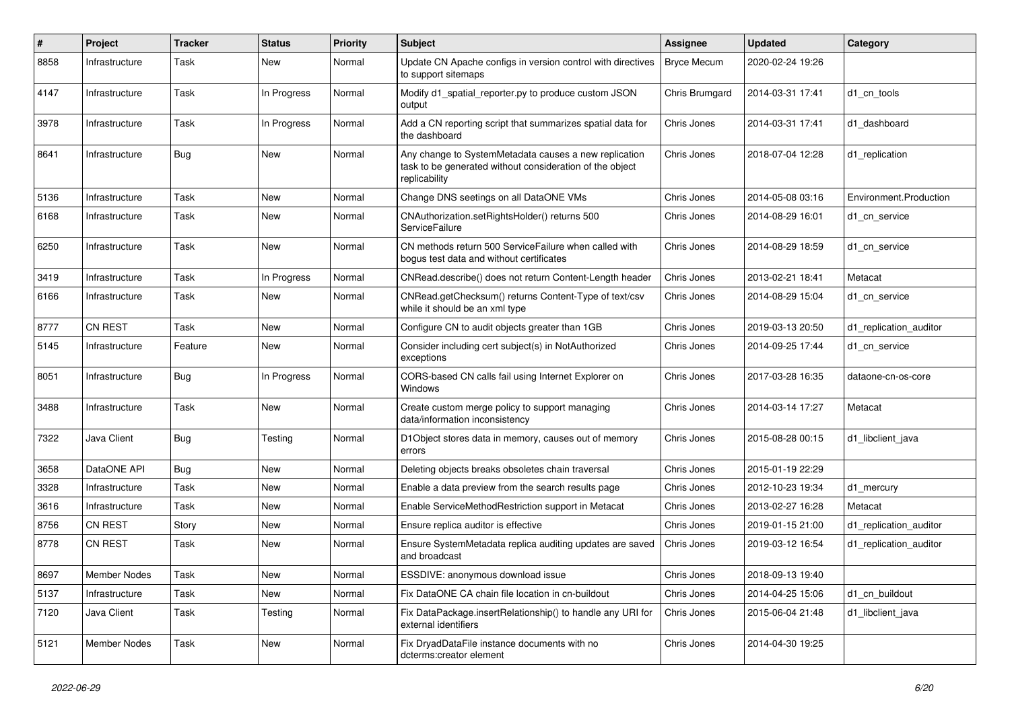| $\#$ | Project        | <b>Tracker</b> | <b>Status</b> | <b>Priority</b> | <b>Subject</b>                                                                                                                     | Assignee           | <b>Updated</b>   | Category               |
|------|----------------|----------------|---------------|-----------------|------------------------------------------------------------------------------------------------------------------------------------|--------------------|------------------|------------------------|
| 8858 | Infrastructure | Task           | New           | Normal          | Update CN Apache configs in version control with directives<br>to support sitemaps                                                 | <b>Bryce Mecum</b> | 2020-02-24 19:26 |                        |
| 4147 | Infrastructure | Task           | In Progress   | Normal          | Modify d1 spatial reporter.py to produce custom JSON<br>output                                                                     | Chris Brumgard     | 2014-03-31 17:41 | d1 cn tools            |
| 3978 | Infrastructure | Task           | In Progress   | Normal          | Add a CN reporting script that summarizes spatial data for<br>the dashboard                                                        | Chris Jones        | 2014-03-31 17:41 | d1_dashboard           |
| 8641 | Infrastructure | Bug            | New           | Normal          | Any change to SystemMetadata causes a new replication<br>task to be generated without consideration of the object<br>replicability | Chris Jones        | 2018-07-04 12:28 | d1_replication         |
| 5136 | Infrastructure | Task           | New           | Normal          | Change DNS seetings on all DataONE VMs                                                                                             | Chris Jones        | 2014-05-08 03:16 | Environment.Production |
| 6168 | Infrastructure | Task           | New           | Normal          | CNAuthorization.setRightsHolder() returns 500<br>ServiceFailure                                                                    | Chris Jones        | 2014-08-29 16:01 | d1 cn service          |
| 6250 | Infrastructure | Task           | New           | Normal          | CN methods return 500 ServiceFailure when called with<br>bogus test data and without certificates                                  | Chris Jones        | 2014-08-29 18:59 | d1 cn service          |
| 3419 | Infrastructure | Task           | In Progress   | Normal          | CNRead.describe() does not return Content-Length header                                                                            | Chris Jones        | 2013-02-21 18:41 | Metacat                |
| 6166 | Infrastructure | Task           | New           | Normal          | CNRead.getChecksum() returns Content-Type of text/csv<br>while it should be an xml type                                            | Chris Jones        | 2014-08-29 15:04 | d1_cn_service          |
| 8777 | CN REST        | Task           | <b>New</b>    | Normal          | Configure CN to audit objects greater than 1GB                                                                                     | Chris Jones        | 2019-03-13 20:50 | d1_replication_auditor |
| 5145 | Infrastructure | Feature        | New           | Normal          | Consider including cert subject(s) in NotAuthorized<br>exceptions                                                                  | Chris Jones        | 2014-09-25 17:44 | d1 cn service          |
| 8051 | Infrastructure | Bug            | In Progress   | Normal          | CORS-based CN calls fail using Internet Explorer on<br>Windows                                                                     | Chris Jones        | 2017-03-28 16:35 | dataone-cn-os-core     |
| 3488 | Infrastructure | Task           | New           | Normal          | Create custom merge policy to support managing<br>data/information inconsistency                                                   | Chris Jones        | 2014-03-14 17:27 | Metacat                |
| 7322 | Java Client    | Bug            | Testing       | Normal          | D1Object stores data in memory, causes out of memory<br>errors                                                                     | Chris Jones        | 2015-08-28 00:15 | d1 libclient java      |
| 3658 | DataONE API    | Bug            | New           | Normal          | Deleting objects breaks obsoletes chain traversal                                                                                  | Chris Jones        | 2015-01-19 22:29 |                        |
| 3328 | Infrastructure | Task           | New           | Normal          | Enable a data preview from the search results page                                                                                 | Chris Jones        | 2012-10-23 19:34 | d1 mercury             |
| 3616 | Infrastructure | Task           | New           | Normal          | Enable ServiceMethodRestriction support in Metacat                                                                                 | Chris Jones        | 2013-02-27 16:28 | Metacat                |
| 8756 | <b>CN REST</b> | Story          | New           | Normal          | Ensure replica auditor is effective                                                                                                | Chris Jones        | 2019-01-15 21:00 | d1 replication auditor |
| 8778 | <b>CN REST</b> | Task           | New           | Normal          | Ensure SystemMetadata replica auditing updates are saved<br>and broadcast                                                          | Chris Jones        | 2019-03-12 16:54 | d1 replication auditor |
| 8697 | Member Nodes   | Task           | New           | Normal          | ESSDIVE: anonymous download issue                                                                                                  | Chris Jones        | 2018-09-13 19:40 |                        |
| 5137 | Infrastructure | Task           | New           | Normal          | Fix DataONE CA chain file location in cn-buildout                                                                                  | Chris Jones        | 2014-04-25 15:06 | d1 cn buildout         |
| 7120 | Java Client    | Task           | Testing       | Normal          | Fix DataPackage.insertRelationship() to handle any URI for<br>external identifiers                                                 | Chris Jones        | 2015-06-04 21:48 | d1 libclient java      |
| 5121 | Member Nodes   | Task           | New           | Normal          | Fix DryadDataFile instance documents with no<br>dcterms:creator element                                                            | Chris Jones        | 2014-04-30 19:25 |                        |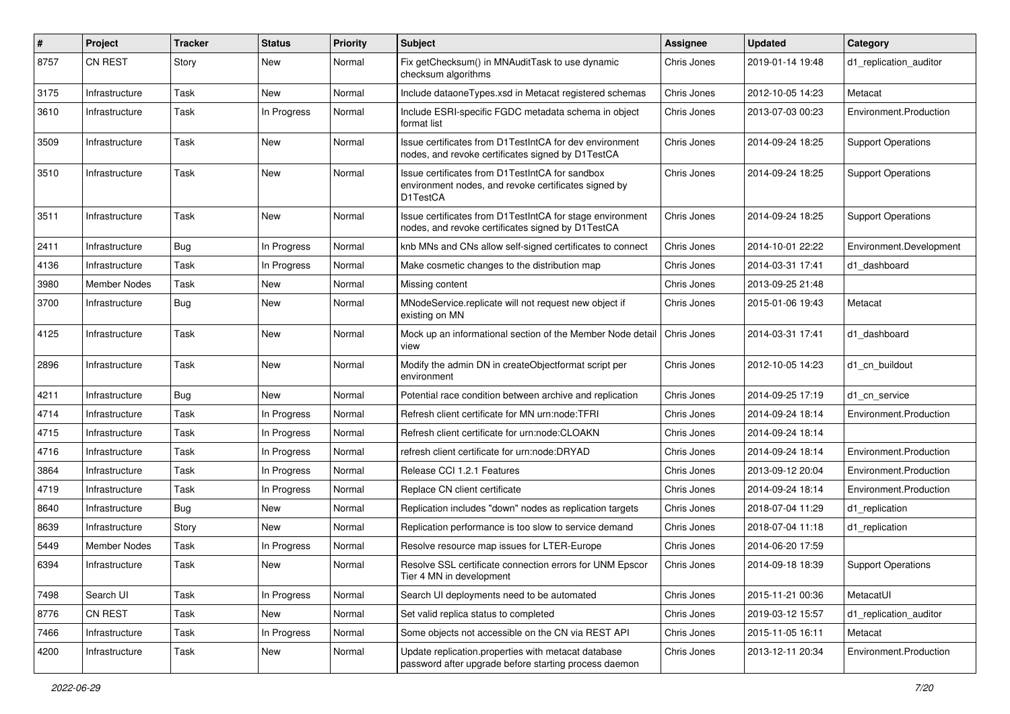| $\#$ | Project        | <b>Tracker</b> | <b>Status</b> | <b>Priority</b> | <b>Subject</b>                                                                                                      | <b>Assignee</b> | <b>Updated</b>   | Category                  |
|------|----------------|----------------|---------------|-----------------|---------------------------------------------------------------------------------------------------------------------|-----------------|------------------|---------------------------|
| 8757 | <b>CN REST</b> | Story          | New           | Normal          | Fix getChecksum() in MNAuditTask to use dynamic<br>checksum algorithms                                              | Chris Jones     | 2019-01-14 19:48 | d1 replication auditor    |
| 3175 | Infrastructure | Task           | New           | Normal          | Include dataoneTypes.xsd in Metacat registered schemas                                                              | Chris Jones     | 2012-10-05 14:23 | Metacat                   |
| 3610 | Infrastructure | Task           | In Progress   | Normal          | Include ESRI-specific FGDC metadata schema in object<br>format list                                                 | Chris Jones     | 2013-07-03 00:23 | Environment.Production    |
| 3509 | Infrastructure | Task           | New           | Normal          | Issue certificates from D1TestIntCA for dev environment<br>nodes, and revoke certificates signed by D1TestCA        | Chris Jones     | 2014-09-24 18:25 | <b>Support Operations</b> |
| 3510 | Infrastructure | Task           | New           | Normal          | Issue certificates from D1TestIntCA for sandbox<br>environment nodes, and revoke certificates signed by<br>D1TestCA | Chris Jones     | 2014-09-24 18:25 | <b>Support Operations</b> |
| 3511 | Infrastructure | Task           | New           | Normal          | Issue certificates from D1TestIntCA for stage environment<br>nodes, and revoke certificates signed by D1TestCA      | Chris Jones     | 2014-09-24 18:25 | <b>Support Operations</b> |
| 2411 | Infrastructure | <b>Bug</b>     | In Progress   | Normal          | knb MNs and CNs allow self-signed certificates to connect                                                           | Chris Jones     | 2014-10-01 22:22 | Environment.Development   |
| 4136 | Infrastructure | Task           | In Progress   | Normal          | Make cosmetic changes to the distribution map                                                                       | Chris Jones     | 2014-03-31 17:41 | d1 dashboard              |
| 3980 | Member Nodes   | Task           | New           | Normal          | Missing content                                                                                                     | Chris Jones     | 2013-09-25 21:48 |                           |
| 3700 | Infrastructure | Bug            | New           | Normal          | MNodeService.replicate will not request new object if<br>existing on MN                                             | Chris Jones     | 2015-01-06 19:43 | Metacat                   |
| 4125 | Infrastructure | Task           | <b>New</b>    | Normal          | Mock up an informational section of the Member Node detail<br>view                                                  | Chris Jones     | 2014-03-31 17:41 | d1 dashboard              |
| 2896 | Infrastructure | Task           | <b>New</b>    | Normal          | Modify the admin DN in createObjectformat script per<br>environment                                                 | Chris Jones     | 2012-10-05 14:23 | d1_cn_buildout            |
| 4211 | Infrastructure | <b>Bug</b>     | New           | Normal          | Potential race condition between archive and replication                                                            | Chris Jones     | 2014-09-25 17:19 | d1 cn service             |
| 4714 | Infrastructure | Task           | In Progress   | Normal          | Refresh client certificate for MN urn:node:TFRI                                                                     | Chris Jones     | 2014-09-24 18:14 | Environment.Production    |
| 4715 | Infrastructure | Task           | In Progress   | Normal          | Refresh client certificate for urn:node:CLOAKN                                                                      | Chris Jones     | 2014-09-24 18:14 |                           |
| 4716 | Infrastructure | Task           | In Progress   | Normal          | refresh client certificate for urn:node:DRYAD                                                                       | Chris Jones     | 2014-09-24 18:14 | Environment.Production    |
| 3864 | Infrastructure | Task           | In Progress   | Normal          | Release CCI 1.2.1 Features                                                                                          | Chris Jones     | 2013-09-12 20:04 | Environment.Production    |
| 4719 | Infrastructure | Task           | In Progress   | Normal          | Replace CN client certificate                                                                                       | Chris Jones     | 2014-09-24 18:14 | Environment.Production    |
| 8640 | Infrastructure | <b>Bug</b>     | New           | Normal          | Replication includes "down" nodes as replication targets                                                            | Chris Jones     | 2018-07-04 11:29 | d1_replication            |
| 8639 | Infrastructure | Story          | New           | Normal          | Replication performance is too slow to service demand                                                               | Chris Jones     | 2018-07-04 11:18 | d1 replication            |
| 5449 | Member Nodes   | Task           | In Progress   | Normal          | Resolve resource map issues for LTER-Europe                                                                         | Chris Jones     | 2014-06-20 17:59 |                           |
| 6394 | Infrastructure | Task           | New           | Normal          | Resolve SSL certificate connection errors for UNM Epscor<br>Tier 4 MN in development                                | Chris Jones     | 2014-09-18 18:39 | <b>Support Operations</b> |
| 7498 | Search UI      | Task           | In Progress   | Normal          | Search UI deployments need to be automated                                                                          | Chris Jones     | 2015-11-21 00:36 | MetacatUI                 |
| 8776 | CN REST        | Task           | New           | Normal          | Set valid replica status to completed                                                                               | Chris Jones     | 2019-03-12 15:57 | d1_replication_auditor    |
| 7466 | Infrastructure | Task           | In Progress   | Normal          | Some objects not accessible on the CN via REST API                                                                  | Chris Jones     | 2015-11-05 16:11 | Metacat                   |
| 4200 | Infrastructure | Task           | New           | Normal          | Update replication.properties with metacat database<br>password after upgrade before starting process daemon        | Chris Jones     | 2013-12-11 20:34 | Environment.Production    |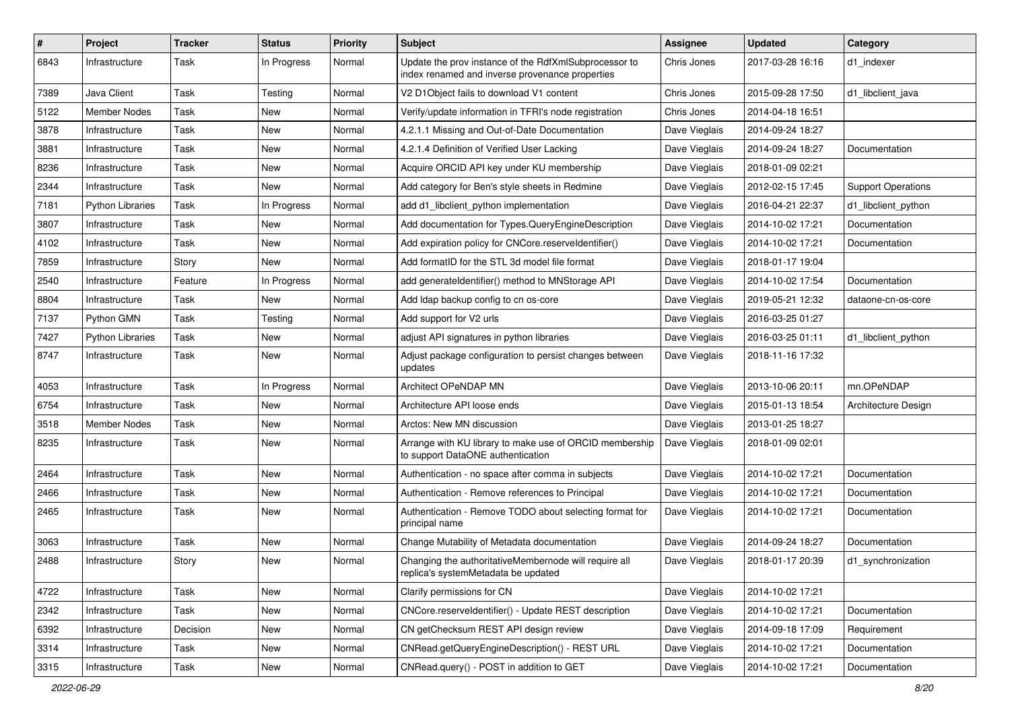| #    | Project                 | <b>Tracker</b> | <b>Status</b> | <b>Priority</b> | <b>Subject</b>                                                                                           | Assignee      | <b>Updated</b>   | Category                  |
|------|-------------------------|----------------|---------------|-----------------|----------------------------------------------------------------------------------------------------------|---------------|------------------|---------------------------|
| 6843 | Infrastructure          | Task           | In Progress   | Normal          | Update the prov instance of the RdfXmlSubprocessor to<br>index renamed and inverse provenance properties | Chris Jones   | 2017-03-28 16:16 | d1_indexer                |
| 7389 | Java Client             | Task           | Testing       | Normal          | V2 D1Object fails to download V1 content                                                                 | Chris Jones   | 2015-09-28 17:50 | d1 libclient java         |
| 5122 | Member Nodes            | Task           | New           | Normal          | Verify/update information in TFRI's node registration                                                    | Chris Jones   | 2014-04-18 16:51 |                           |
| 3878 | Infrastructure          | Task           | New           | Normal          | 4.2.1.1 Missing and Out-of-Date Documentation                                                            | Dave Vieglais | 2014-09-24 18:27 |                           |
| 3881 | Infrastructure          | Task           | New           | Normal          | 4.2.1.4 Definition of Verified User Lacking                                                              | Dave Vieglais | 2014-09-24 18:27 | Documentation             |
| 8236 | Infrastructure          | Task           | New           | Normal          | Acquire ORCID API key under KU membership                                                                | Dave Vieglais | 2018-01-09 02:21 |                           |
| 2344 | Infrastructure          | Task           | New           | Normal          | Add category for Ben's style sheets in Redmine                                                           | Dave Vieglais | 2012-02-15 17:45 | <b>Support Operations</b> |
| 7181 | <b>Python Libraries</b> | Task           | In Progress   | Normal          | add d1_libclient_python implementation                                                                   | Dave Vieglais | 2016-04-21 22:37 | d1 libclient python       |
| 3807 | Infrastructure          | Task           | New           | Normal          | Add documentation for Types.QueryEngineDescription                                                       | Dave Vieglais | 2014-10-02 17:21 | Documentation             |
| 4102 | Infrastructure          | Task           | New           | Normal          | Add expiration policy for CNCore.reserveldentifier()                                                     | Dave Vieglais | 2014-10-02 17:21 | Documentation             |
| 7859 | Infrastructure          | Story          | New           | Normal          | Add formatID for the STL 3d model file format                                                            | Dave Vieglais | 2018-01-17 19:04 |                           |
| 2540 | Infrastructure          | Feature        | In Progress   | Normal          | add generate dentifier() method to MNStorage API                                                         | Dave Vieglais | 2014-10-02 17:54 | Documentation             |
| 8804 | Infrastructure          | Task           | New           | Normal          | Add Idap backup config to cn os-core                                                                     | Dave Vieglais | 2019-05-21 12:32 | dataone-cn-os-core        |
| 7137 | Python GMN              | Task           | Testing       | Normal          | Add support for V2 urls                                                                                  | Dave Vieglais | 2016-03-25 01:27 |                           |
| 7427 | <b>Python Libraries</b> | Task           | New           | Normal          | adjust API signatures in python libraries                                                                | Dave Vieglais | 2016-03-25 01:11 | d1 libclient python       |
| 8747 | Infrastructure          | Task           | New           | Normal          | Adjust package configuration to persist changes between<br>updates                                       | Dave Vieglais | 2018-11-16 17:32 |                           |
| 4053 | Infrastructure          | Task           | In Progress   | Normal          | Architect OPeNDAP MN                                                                                     | Dave Vieglais | 2013-10-06 20:11 | mn.OPeNDAP                |
| 6754 | Infrastructure          | Task           | New           | Normal          | Architecture API loose ends                                                                              | Dave Vieglais | 2015-01-13 18:54 | Architecture Design       |
| 3518 | Member Nodes            | Task           | New           | Normal          | Arctos: New MN discussion                                                                                | Dave Vieglais | 2013-01-25 18:27 |                           |
| 8235 | Infrastructure          | Task           | New           | Normal          | Arrange with KU library to make use of ORCID membership<br>to support DataONE authentication             | Dave Vieglais | 2018-01-09 02:01 |                           |
| 2464 | Infrastructure          | Task           | New           | Normal          | Authentication - no space after comma in subjects                                                        | Dave Vieglais | 2014-10-02 17:21 | Documentation             |
| 2466 | Infrastructure          | Task           | New           | Normal          | Authentication - Remove references to Principal                                                          | Dave Vieglais | 2014-10-02 17:21 | Documentation             |
| 2465 | Infrastructure          | Task           | New           | Normal          | Authentication - Remove TODO about selecting format for<br>principal name                                | Dave Vieglais | 2014-10-02 17:21 | Documentation             |
| 3063 | Infrastructure          | Task           | New           | Normal          | Change Mutability of Metadata documentation                                                              | Dave Vieglais | 2014-09-24 18:27 | Documentation             |
| 2488 | Infrastructure          | Story          | New           | Normal          | Changing the authoritativeMembernode will require all<br>replica's systemMetadata be updated             | Dave Vieglais | 2018-01-17 20:39 | d1 synchronization        |
| 4722 | Infrastructure          | Task           | New           | Normal          | Clarify permissions for CN                                                                               | Dave Vieglais | 2014-10-02 17:21 |                           |
| 2342 | Infrastructure          | Task           | New           | Normal          | CNCore.reserveldentifier() - Update REST description                                                     | Dave Vieglais | 2014-10-02 17:21 | Documentation             |
| 6392 | Infrastructure          | Decision       | New           | Normal          | CN getChecksum REST API design review                                                                    | Dave Vieglais | 2014-09-18 17:09 | Requirement               |
| 3314 | Infrastructure          | Task           | New           | Normal          | CNRead.getQueryEngineDescription() - REST URL                                                            | Dave Vieglais | 2014-10-02 17:21 | Documentation             |
| 3315 | Infrastructure          | Task           | New           | Normal          | CNRead.query() - POST in addition to GET                                                                 | Dave Vieglais | 2014-10-02 17:21 | Documentation             |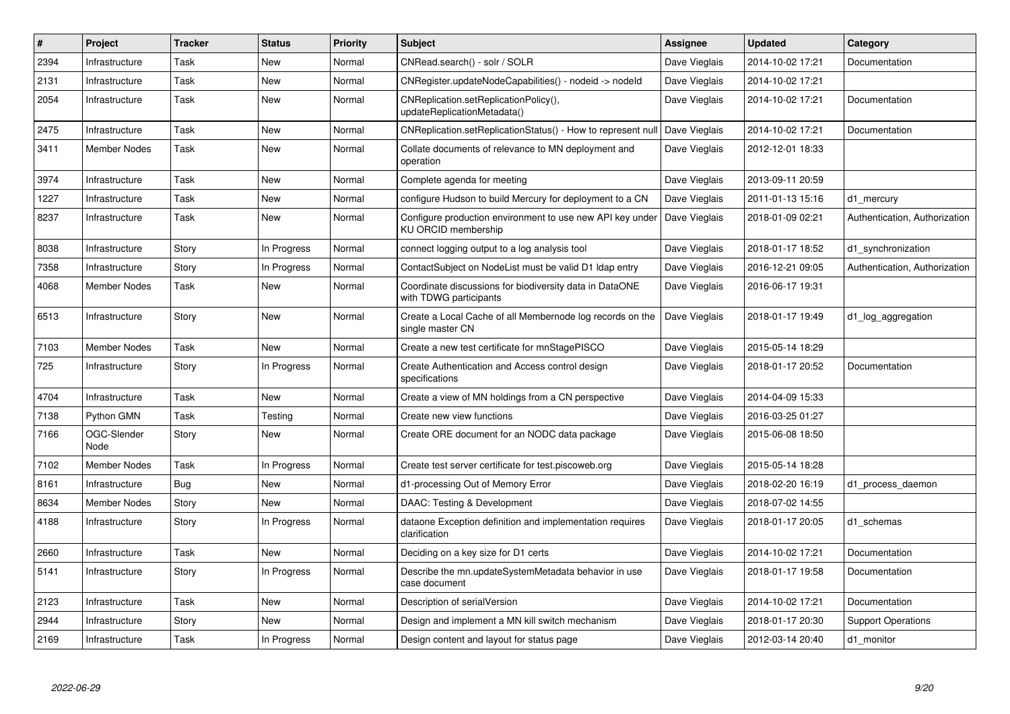| $\#$ | Project             | <b>Tracker</b> | <b>Status</b> | <b>Priority</b> | <b>Subject</b>                                                                    | Assignee      | <b>Updated</b>   | Category                      |
|------|---------------------|----------------|---------------|-----------------|-----------------------------------------------------------------------------------|---------------|------------------|-------------------------------|
| 2394 | Infrastructure      | Task           | <b>New</b>    | Normal          | CNRead.search() - solr / SOLR                                                     | Dave Vieglais | 2014-10-02 17:21 | Documentation                 |
| 2131 | Infrastructure      | Task           | <b>New</b>    | Normal          | CNRegister.updateNodeCapabilities() - nodeid -> nodeld                            | Dave Vieglais | 2014-10-02 17:21 |                               |
| 2054 | Infrastructure      | Task           | New           | Normal          | CNReplication.setReplicationPolicy(),<br>updateReplicationMetadata()              | Dave Vieglais | 2014-10-02 17:21 | Documentation                 |
| 2475 | Infrastructure      | Task           | <b>New</b>    | Normal          | CNReplication.setReplicationStatus() - How to represent null                      | Dave Vieglais | 2014-10-02 17:21 | Documentation                 |
| 3411 | Member Nodes        | Task           | New           | Normal          | Collate documents of relevance to MN deployment and<br>operation                  | Dave Vieglais | 2012-12-01 18:33 |                               |
| 3974 | Infrastructure      | Task           | <b>New</b>    | Normal          | Complete agenda for meeting                                                       | Dave Vieglais | 2013-09-11 20:59 |                               |
| 1227 | Infrastructure      | Task           | New           | Normal          | configure Hudson to build Mercury for deployment to a CN                          | Dave Vieglais | 2011-01-13 15:16 | d1_mercury                    |
| 8237 | Infrastructure      | Task           | <b>New</b>    | Normal          | Configure production environment to use new API key under<br>KU ORCID membership  | Dave Vieglais | 2018-01-09 02:21 | Authentication, Authorization |
| 8038 | Infrastructure      | Story          | In Progress   | Normal          | connect logging output to a log analysis tool                                     | Dave Vieglais | 2018-01-17 18:52 | d1 synchronization            |
| 7358 | Infrastructure      | Story          | In Progress   | Normal          | ContactSubject on NodeList must be valid D1 Idap entry                            | Dave Vieglais | 2016-12-21 09:05 | Authentication, Authorization |
| 4068 | Member Nodes        | Task           | New           | Normal          | Coordinate discussions for biodiversity data in DataONE<br>with TDWG participants | Dave Vieglais | 2016-06-17 19:31 |                               |
| 6513 | Infrastructure      | Story          | <b>New</b>    | Normal          | Create a Local Cache of all Membernode log records on the<br>single master CN     | Dave Vieglais | 2018-01-17 19:49 | d1_log_aggregation            |
| 7103 | Member Nodes        | Task           | New           | Normal          | Create a new test certificate for mnStagePISCO                                    | Dave Vieglais | 2015-05-14 18:29 |                               |
| 725  | Infrastructure      | Story          | In Progress   | Normal          | Create Authentication and Access control design<br>specifications                 | Dave Vieglais | 2018-01-17 20:52 | Documentation                 |
| 4704 | Infrastructure      | Task           | <b>New</b>    | Normal          | Create a view of MN holdings from a CN perspective                                | Dave Vieglais | 2014-04-09 15:33 |                               |
| 7138 | Python GMN          | Task           | Testing       | Normal          | Create new view functions                                                         | Dave Vieglais | 2016-03-25 01:27 |                               |
| 7166 | OGC-Slender<br>Node | Story          | New           | Normal          | Create ORE document for an NODC data package                                      | Dave Vieglais | 2015-06-08 18:50 |                               |
| 7102 | <b>Member Nodes</b> | Task           | In Progress   | Normal          | Create test server certificate for test.piscoweb.org                              | Dave Vieglais | 2015-05-14 18:28 |                               |
| 8161 | Infrastructure      | Bug            | New           | Normal          | d1-processing Out of Memory Error                                                 | Dave Vieglais | 2018-02-20 16:19 | d1 process daemon             |
| 8634 | <b>Member Nodes</b> | Story          | New           | Normal          | DAAC: Testing & Development                                                       | Dave Vieglais | 2018-07-02 14:55 |                               |
| 4188 | Infrastructure      | Story          | In Progress   | Normal          | dataone Exception definition and implementation requires<br>clarification         | Dave Vieglais | 2018-01-17 20:05 | d1 schemas                    |
| 2660 | Infrastructure      | Task           | <b>New</b>    | Normal          | Deciding on a key size for D1 certs                                               | Dave Vieglais | 2014-10-02 17:21 | Documentation                 |
| 5141 | Infrastructure      | Story          | In Progress   | Normal          | Describe the mn.updateSystemMetadata behavior in use<br>case document             | Dave Vieglais | 2018-01-17 19:58 | Documentation                 |
| 2123 | Infrastructure      | Task           | New           | Normal          | Description of serialVersion                                                      | Dave Vieglais | 2014-10-02 17:21 | Documentation                 |
| 2944 | Infrastructure      | Story          | New           | Normal          | Design and implement a MN kill switch mechanism                                   | Dave Vieglais | 2018-01-17 20:30 | <b>Support Operations</b>     |
| 2169 | Infrastructure      | Task           | In Progress   | Normal          | Design content and layout for status page                                         | Dave Vieglais | 2012-03-14 20:40 | d1 monitor                    |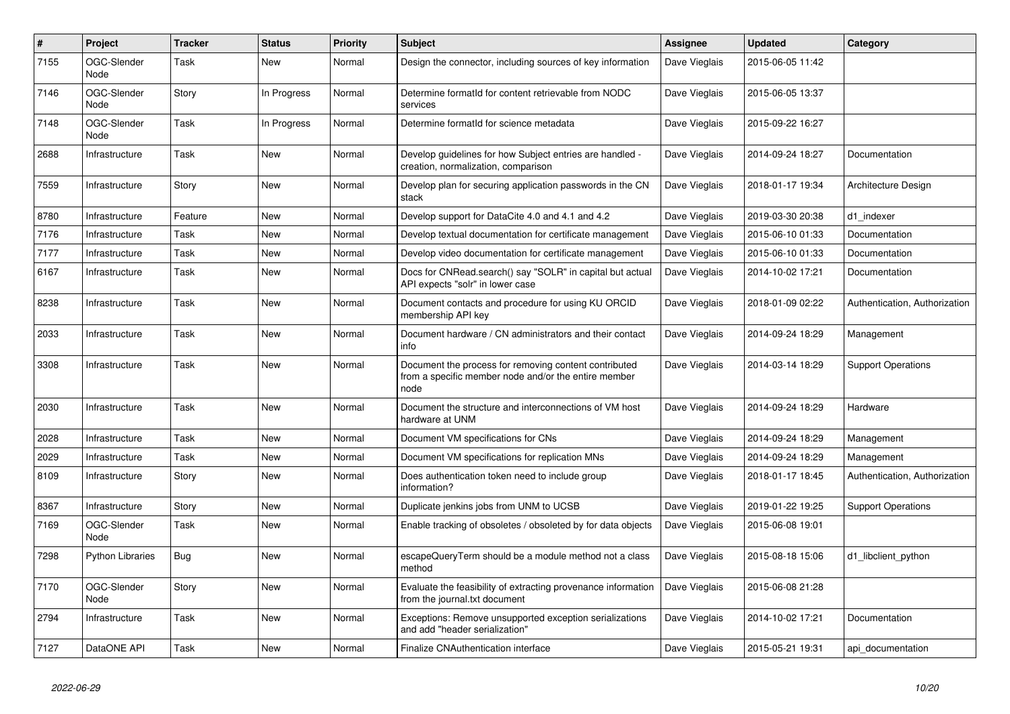| $\#$ | Project             | <b>Tracker</b> | <b>Status</b> | <b>Priority</b> | Subject                                                                                                               | Assignee      | <b>Updated</b>   | Category                      |
|------|---------------------|----------------|---------------|-----------------|-----------------------------------------------------------------------------------------------------------------------|---------------|------------------|-------------------------------|
| 7155 | OGC-Slender<br>Node | Task           | New           | Normal          | Design the connector, including sources of key information                                                            | Dave Vieglais | 2015-06-05 11:42 |                               |
| 7146 | OGC-Slender<br>Node | Story          | In Progress   | Normal          | Determine formatId for content retrievable from NODC<br>services                                                      | Dave Vieglais | 2015-06-05 13:37 |                               |
| 7148 | OGC-Slender<br>Node | Task           | In Progress   | Normal          | Determine formatId for science metadata                                                                               | Dave Vieglais | 2015-09-22 16:27 |                               |
| 2688 | Infrastructure      | Task           | New           | Normal          | Develop guidelines for how Subject entries are handled -<br>creation, normalization, comparison                       | Dave Vieglais | 2014-09-24 18:27 | Documentation                 |
| 7559 | Infrastructure      | Story          | New           | Normal          | Develop plan for securing application passwords in the CN<br>stack                                                    | Dave Vieglais | 2018-01-17 19:34 | Architecture Design           |
| 8780 | Infrastructure      | Feature        | New           | Normal          | Develop support for DataCite 4.0 and 4.1 and 4.2                                                                      | Dave Vieglais | 2019-03-30 20:38 | d1_indexer                    |
| 7176 | Infrastructure      | Task           | New           | Normal          | Develop textual documentation for certificate management                                                              | Dave Vieglais | 2015-06-10 01:33 | Documentation                 |
| 7177 | Infrastructure      | Task           | New           | Normal          | Develop video documentation for certificate management                                                                | Dave Vieglais | 2015-06-10 01:33 | Documentation                 |
| 6167 | Infrastructure      | Task           | <b>New</b>    | Normal          | Docs for CNRead.search() say "SOLR" in capital but actual<br>API expects "solr" in lower case                         | Dave Vieglais | 2014-10-02 17:21 | Documentation                 |
| 8238 | Infrastructure      | Task           | New           | Normal          | Document contacts and procedure for using KU ORCID<br>membership API key                                              | Dave Vieglais | 2018-01-09 02:22 | Authentication, Authorization |
| 2033 | Infrastructure      | Task           | <b>New</b>    | Normal          | Document hardware / CN administrators and their contact<br>info                                                       | Dave Vieglais | 2014-09-24 18:29 | Management                    |
| 3308 | Infrastructure      | Task           | <b>New</b>    | Normal          | Document the process for removing content contributed<br>from a specific member node and/or the entire member<br>node | Dave Vieglais | 2014-03-14 18:29 | <b>Support Operations</b>     |
| 2030 | Infrastructure      | Task           | New           | Normal          | Document the structure and interconnections of VM host<br>hardware at UNM                                             | Dave Vieglais | 2014-09-24 18:29 | Hardware                      |
| 2028 | Infrastructure      | Task           | New           | Normal          | Document VM specifications for CNs                                                                                    | Dave Vieglais | 2014-09-24 18:29 | Management                    |
| 2029 | Infrastructure      | Task           | New           | Normal          | Document VM specifications for replication MNs                                                                        | Dave Vieglais | 2014-09-24 18:29 | Management                    |
| 8109 | Infrastructure      | Story          | New           | Normal          | Does authentication token need to include group<br>information?                                                       | Dave Vieglais | 2018-01-17 18:45 | Authentication, Authorization |
| 8367 | Infrastructure      | Story          | <b>New</b>    | Normal          | Duplicate jenkins jobs from UNM to UCSB                                                                               | Dave Vieglais | 2019-01-22 19:25 | <b>Support Operations</b>     |
| 7169 | OGC-Slender<br>Node | Task           | <b>New</b>    | Normal          | Enable tracking of obsoletes / obsoleted by for data objects                                                          | Dave Vieglais | 2015-06-08 19:01 |                               |
| 7298 | Python Libraries    | Bug            | <b>New</b>    | Normal          | escapeQueryTerm should be a module method not a class<br>method                                                       | Dave Vieglais | 2015-08-18 15:06 | d1_libclient_python           |
| 7170 | OGC-Slender<br>Node | Story          | New           | Normal          | Evaluate the feasibility of extracting provenance information<br>from the journal.txt document                        | Dave Vieglais | 2015-06-08 21:28 |                               |
| 2794 | Infrastructure      | Task           | New           | Normal          | Exceptions: Remove unsupported exception serializations<br>and add "header serialization"                             | Dave Vieglais | 2014-10-02 17:21 | Documentation                 |
| 7127 | DataONE API         | Task           | <b>New</b>    | Normal          | Finalize CNAuthentication interface                                                                                   | Dave Vieglais | 2015-05-21 19:31 | api documentation             |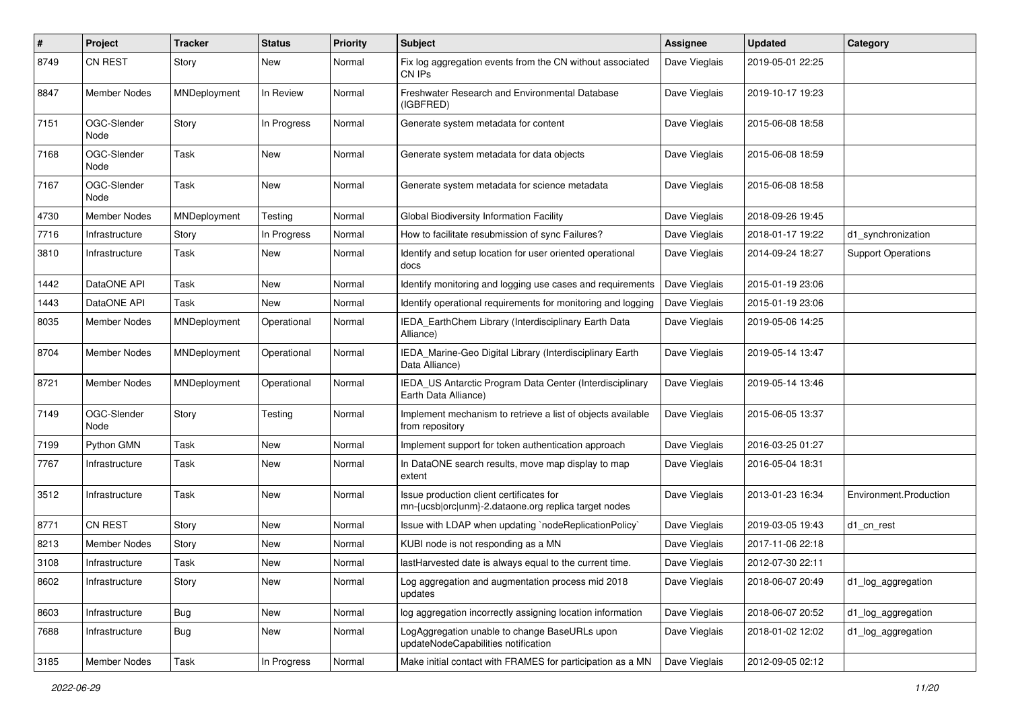| $\vert$ # | Project             | <b>Tracker</b> | <b>Status</b> | <b>Priority</b> | Subject                                                                                          | <b>Assignee</b> | <b>Updated</b>   | Category                  |
|-----------|---------------------|----------------|---------------|-----------------|--------------------------------------------------------------------------------------------------|-----------------|------------------|---------------------------|
| 8749      | <b>CN REST</b>      | Story          | New           | Normal          | Fix log aggregation events from the CN without associated<br>CN IPs                              | Dave Vieglais   | 2019-05-01 22:25 |                           |
| 8847      | <b>Member Nodes</b> | MNDeployment   | In Review     | Normal          | <b>Freshwater Research and Environmental Database</b><br>(IGBFRED)                               | Dave Vieglais   | 2019-10-17 19:23 |                           |
| 7151      | OGC-Slender<br>Node | Story          | In Progress   | Normal          | Generate system metadata for content                                                             | Dave Vieglais   | 2015-06-08 18:58 |                           |
| 7168      | OGC-Slender<br>Node | Task           | New           | Normal          | Generate system metadata for data objects                                                        | Dave Vieglais   | 2015-06-08 18:59 |                           |
| 7167      | OGC-Slender<br>Node | Task           | <b>New</b>    | Normal          | Generate system metadata for science metadata                                                    | Dave Vieglais   | 2015-06-08 18:58 |                           |
| 4730      | <b>Member Nodes</b> | MNDeployment   | Testing       | Normal          | Global Biodiversity Information Facility                                                         | Dave Vieglais   | 2018-09-26 19:45 |                           |
| 7716      | Infrastructure      | Story          | In Progress   | Normal          | How to facilitate resubmission of sync Failures?                                                 | Dave Vieglais   | 2018-01-17 19:22 | d1_synchronization        |
| 3810      | Infrastructure      | Task           | New           | Normal          | Identify and setup location for user oriented operational<br>docs                                | Dave Vieglais   | 2014-09-24 18:27 | <b>Support Operations</b> |
| 1442      | DataONE API         | Task           | New           | Normal          | Identify monitoring and logging use cases and requirements                                       | Dave Vieglais   | 2015-01-19 23:06 |                           |
| 1443      | DataONE API         | Task           | New           | Normal          | Identify operational requirements for monitoring and logging                                     | Dave Vieglais   | 2015-01-19 23:06 |                           |
| 8035      | Member Nodes        | MNDeployment   | Operational   | Normal          | IEDA_EarthChem Library (Interdisciplinary Earth Data<br>Alliance)                                | Dave Vieglais   | 2019-05-06 14:25 |                           |
| 8704      | Member Nodes        | MNDeployment   | Operational   | Normal          | IEDA_Marine-Geo Digital Library (Interdisciplinary Earth<br>Data Alliance)                       | Dave Vieglais   | 2019-05-14 13:47 |                           |
| 8721      | Member Nodes        | MNDeployment   | Operational   | Normal          | IEDA_US Antarctic Program Data Center (Interdisciplinary<br>Earth Data Alliance)                 | Dave Vieglais   | 2019-05-14 13:46 |                           |
| 7149      | OGC-Slender<br>Node | Story          | Testing       | Normal          | Implement mechanism to retrieve a list of objects available<br>from repository                   | Dave Vieglais   | 2015-06-05 13:37 |                           |
| 7199      | Python GMN          | Task           | New           | Normal          | Implement support for token authentication approach                                              | Dave Vieglais   | 2016-03-25 01:27 |                           |
| 7767      | Infrastructure      | Task           | New           | Normal          | In DataONE search results, move map display to map<br>extent                                     | Dave Vieglais   | 2016-05-04 18:31 |                           |
| 3512      | Infrastructure      | Task           | New           | Normal          | Issue production client certificates for<br>mn-{ucsb orc unm}-2.dataone.org replica target nodes | Dave Vieglais   | 2013-01-23 16:34 | Environment.Production    |
| 8771      | <b>CN REST</b>      | Story          | New           | Normal          | Issue with LDAP when updating `nodeReplicationPolicy`                                            | Dave Vieglais   | 2019-03-05 19:43 | d1 cn rest                |
| 8213      | <b>Member Nodes</b> | Story          | New           | Normal          | KUBI node is not responding as a MN                                                              | Dave Vieglais   | 2017-11-06 22:18 |                           |
| 3108      | Infrastructure      | Task           | New           | Normal          | lastHarvested date is always equal to the current time.                                          | Dave Vieglais   | 2012-07-30 22:11 |                           |
| 8602      | Infrastructure      | Story          | New           | Normal          | Log aggregation and augmentation process mid 2018<br>updates                                     | Dave Vieglais   | 2018-06-07 20:49 | d1_log_aggregation        |
| 8603      | Infrastructure      | <b>Bug</b>     | New           | Normal          | log aggregation incorrectly assigning location information                                       | Dave Vieglais   | 2018-06-07 20:52 | d1_log_aggregation        |
| 7688      | Infrastructure      | <b>Bug</b>     | New           | Normal          | LogAggregation unable to change BaseURLs upon<br>updateNodeCapabilities notification             | Dave Vieglais   | 2018-01-02 12:02 | d1_log_aggregation        |
| 3185      | <b>Member Nodes</b> | Task           | In Progress   | Normal          | Make initial contact with FRAMES for participation as a MN                                       | Dave Vieglais   | 2012-09-05 02:12 |                           |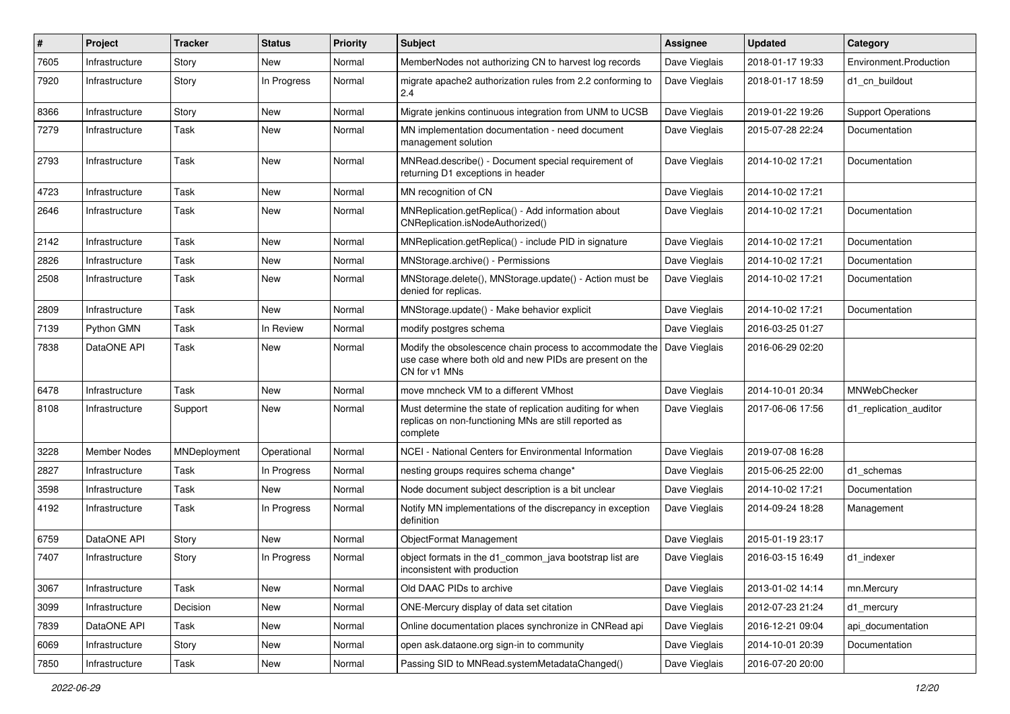| ∦    | Project             | <b>Tracker</b> | <b>Status</b> | <b>Priority</b> | Subject                                                                                                                              | Assignee      | Updated          | Category                  |
|------|---------------------|----------------|---------------|-----------------|--------------------------------------------------------------------------------------------------------------------------------------|---------------|------------------|---------------------------|
| 7605 | Infrastructure      | Story          | New           | Normal          | MemberNodes not authorizing CN to harvest log records                                                                                | Dave Vieglais | 2018-01-17 19:33 | Environment.Production    |
| 7920 | Infrastructure      | Story          | In Progress   | Normal          | migrate apache2 authorization rules from 2.2 conforming to<br>2.4                                                                    | Dave Vieglais | 2018-01-17 18:59 | d1 cn buildout            |
| 8366 | Infrastructure      | Story          | New           | Normal          | Migrate jenkins continuous integration from UNM to UCSB                                                                              | Dave Vieglais | 2019-01-22 19:26 | <b>Support Operations</b> |
| 7279 | Infrastructure      | Task           | New           | Normal          | MN implementation documentation - need document<br>management solution                                                               | Dave Vieglais | 2015-07-28 22:24 | Documentation             |
| 2793 | Infrastructure      | Task           | New           | Normal          | MNRead.describe() - Document special requirement of<br>returning D1 exceptions in header                                             | Dave Vieglais | 2014-10-02 17:21 | Documentation             |
| 4723 | Infrastructure      | Task           | New           | Normal          | MN recognition of CN                                                                                                                 | Dave Vieglais | 2014-10-02 17:21 |                           |
| 2646 | Infrastructure      | Task           | New           | Normal          | MNReplication.getReplica() - Add information about<br>CNReplication.isNodeAuthorized()                                               | Dave Vieglais | 2014-10-02 17:21 | Documentation             |
| 2142 | Infrastructure      | Task           | New           | Normal          | MNReplication.getReplica() - include PID in signature                                                                                | Dave Vieglais | 2014-10-02 17:21 | Documentation             |
| 2826 | Infrastructure      | Task           | New           | Normal          | MNStorage.archive() - Permissions                                                                                                    | Dave Vieglais | 2014-10-02 17:21 | Documentation             |
| 2508 | Infrastructure      | Task           | New           | Normal          | MNStorage.delete(), MNStorage.update() - Action must be<br>denied for replicas.                                                      | Dave Vieglais | 2014-10-02 17:21 | Documentation             |
| 2809 | Infrastructure      | Task           | <b>New</b>    | Normal          | MNStorage.update() - Make behavior explicit                                                                                          | Dave Vieglais | 2014-10-02 17:21 | Documentation             |
| 7139 | Python GMN          | Task           | In Review     | Normal          | modify postgres schema                                                                                                               | Dave Vieglais | 2016-03-25 01:27 |                           |
| 7838 | DataONE API         | Task           | New           | Normal          | Modify the obsolescence chain process to accommodate the<br>use case where both old and new PIDs are present on the<br>CN for v1 MNs | Dave Vieglais | 2016-06-29 02:20 |                           |
| 6478 | Infrastructure      | Task           | New           | Normal          | move mncheck VM to a different VMhost                                                                                                | Dave Vieglais | 2014-10-01 20:34 | MNWebChecker              |
| 8108 | Infrastructure      | Support        | <b>New</b>    | Normal          | Must determine the state of replication auditing for when<br>replicas on non-functioning MNs are still reported as<br>complete       | Dave Vieglais | 2017-06-06 17:56 | d1_replication_auditor    |
| 3228 | <b>Member Nodes</b> | MNDeployment   | Operational   | Normal          | NCEI - National Centers for Environmental Information                                                                                | Dave Vieglais | 2019-07-08 16:28 |                           |
| 2827 | Infrastructure      | Task           | In Progress   | Normal          | nesting groups requires schema change*                                                                                               | Dave Vieglais | 2015-06-25 22:00 | d1 schemas                |
| 3598 | Infrastructure      | Task           | New           | Normal          | Node document subject description is a bit unclear                                                                                   | Dave Vieglais | 2014-10-02 17:21 | Documentation             |
| 4192 | Infrastructure      | Task           | In Progress   | Normal          | Notify MN implementations of the discrepancy in exception<br>definition                                                              | Dave Vieglais | 2014-09-24 18:28 | Management                |
| 6759 | DataONE API         | Story          | New           | Normal          | ObjectFormat Management                                                                                                              | Dave Vieglais | 2015-01-19 23:17 |                           |
| 7407 | Infrastructure      | Story          | In Progress   | Normal          | object formats in the d1_common_java bootstrap list are<br>inconsistent with production                                              | Dave Vieglais | 2016-03-15 16:49 | d1 indexer                |
| 3067 | Infrastructure      | Task           | New           | Normal          | Old DAAC PIDs to archive                                                                                                             | Dave Vieglais | 2013-01-02 14:14 | mn.Mercury                |
| 3099 | Infrastructure      | Decision       | New           | Normal          | ONE-Mercury display of data set citation                                                                                             | Dave Vieglais | 2012-07-23 21:24 | d1_mercury                |
| 7839 | DataONE API         | Task           | New           | Normal          | Online documentation places synchronize in CNRead api                                                                                | Dave Vieglais | 2016-12-21 09:04 | api_documentation         |
| 6069 | Infrastructure      | Story          | New           | Normal          | open ask.dataone.org sign-in to community                                                                                            | Dave Vieglais | 2014-10-01 20:39 | Documentation             |
| 7850 | Infrastructure      | Task           | New           | Normal          | Passing SID to MNRead.systemMetadataChanged()                                                                                        | Dave Vieglais | 2016-07-20 20:00 |                           |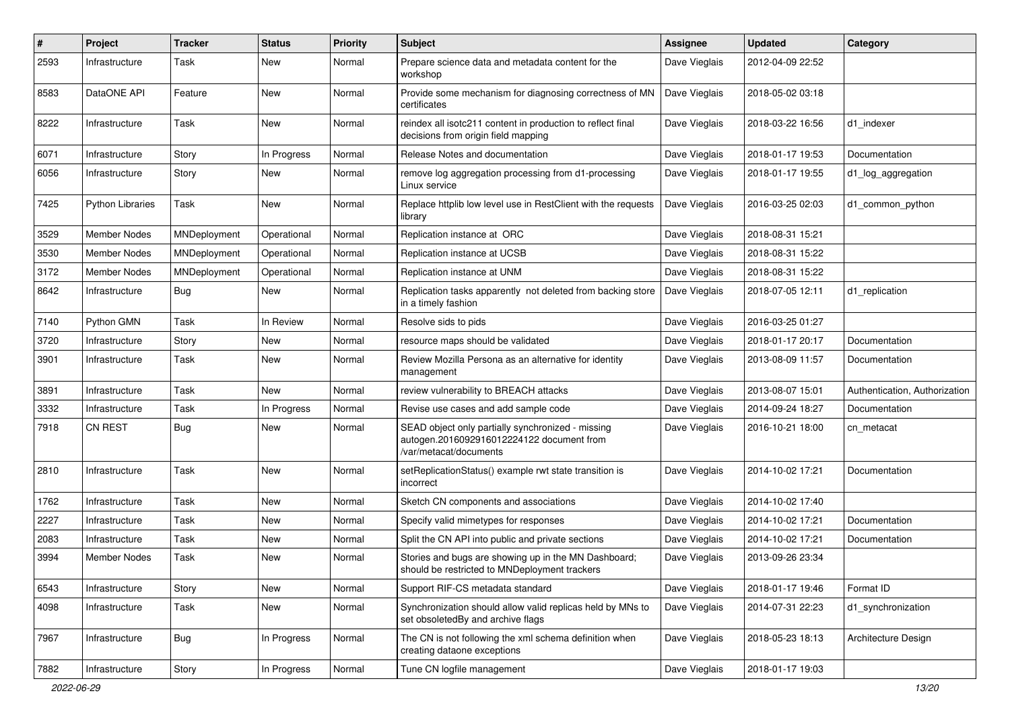| $\#$ | Project                 | <b>Tracker</b> | <b>Status</b> | <b>Priority</b> | Subject                                                                                                                  | <b>Assignee</b> | <b>Updated</b>   | Category                      |
|------|-------------------------|----------------|---------------|-----------------|--------------------------------------------------------------------------------------------------------------------------|-----------------|------------------|-------------------------------|
| 2593 | Infrastructure          | Task           | New           | Normal          | Prepare science data and metadata content for the<br>workshop                                                            | Dave Vieglais   | 2012-04-09 22:52 |                               |
| 8583 | DataONE API             | Feature        | New           | Normal          | Provide some mechanism for diagnosing correctness of MN<br>certificates                                                  | Dave Vieglais   | 2018-05-02 03:18 |                               |
| 8222 | Infrastructure          | Task           | New           | Normal          | reindex all isotc211 content in production to reflect final<br>decisions from origin field mapping                       | Dave Vieglais   | 2018-03-22 16:56 | d1 indexer                    |
| 6071 | Infrastructure          | Story          | In Progress   | Normal          | Release Notes and documentation                                                                                          | Dave Vieglais   | 2018-01-17 19:53 | Documentation                 |
| 6056 | Infrastructure          | Story          | New           | Normal          | remove log aggregation processing from d1-processing<br>Linux service                                                    | Dave Vieglais   | 2018-01-17 19:55 | d1_log_aggregation            |
| 7425 | <b>Python Libraries</b> | Task           | New           | Normal          | Replace httplib low level use in RestClient with the requests<br>library                                                 | Dave Vieglais   | 2016-03-25 02:03 | d1 common python              |
| 3529 | Member Nodes            | MNDeployment   | Operational   | Normal          | Replication instance at ORC                                                                                              | Dave Vieglais   | 2018-08-31 15:21 |                               |
| 3530 | <b>Member Nodes</b>     | MNDeployment   | Operational   | Normal          | Replication instance at UCSB                                                                                             | Dave Vieglais   | 2018-08-31 15:22 |                               |
| 3172 | Member Nodes            | MNDeployment   | Operational   | Normal          | Replication instance at UNM                                                                                              | Dave Vieglais   | 2018-08-31 15:22 |                               |
| 8642 | Infrastructure          | <b>Bug</b>     | New           | Normal          | Replication tasks apparently not deleted from backing store<br>in a timely fashion                                       | Dave Vieglais   | 2018-07-05 12:11 | d1 replication                |
| 7140 | Python GMN              | Task           | In Review     | Normal          | Resolve sids to pids                                                                                                     | Dave Vieglais   | 2016-03-25 01:27 |                               |
| 3720 | Infrastructure          | Story          | New           | Normal          | resource maps should be validated                                                                                        | Dave Vieglais   | 2018-01-17 20:17 | Documentation                 |
| 3901 | Infrastructure          | Task           | New           | Normal          | Review Mozilla Persona as an alternative for identity<br>management                                                      | Dave Vieglais   | 2013-08-09 11:57 | Documentation                 |
| 3891 | Infrastructure          | Task           | <b>New</b>    | Normal          | review vulnerability to BREACH attacks                                                                                   | Dave Vieglais   | 2013-08-07 15:01 | Authentication, Authorization |
| 3332 | Infrastructure          | Task           | In Progress   | Normal          | Revise use cases and add sample code                                                                                     | Dave Vieglais   | 2014-09-24 18:27 | Documentation                 |
| 7918 | <b>CN REST</b>          | Bug            | New           | Normal          | SEAD object only partially synchronized - missing<br>autogen.2016092916012224122 document from<br>/var/metacat/documents | Dave Vieglais   | 2016-10-21 18:00 | cn_metacat                    |
| 2810 | Infrastructure          | Task           | <b>New</b>    | Normal          | setReplicationStatus() example rwt state transition is<br>incorrect                                                      | Dave Vieglais   | 2014-10-02 17:21 | Documentation                 |
| 1762 | Infrastructure          | Task           | New           | Normal          | Sketch CN components and associations                                                                                    | Dave Vieglais   | 2014-10-02 17:40 |                               |
| 2227 | Infrastructure          | Task           | New           | Normal          | Specify valid mimetypes for responses                                                                                    | Dave Vieglais   | 2014-10-02 17:21 | Documentation                 |
| 2083 | Infrastructure          | Task           | New           | Normal          | Split the CN API into public and private sections                                                                        | Dave Vieglais   | 2014-10-02 17:21 | Documentation                 |
| 3994 | Member Nodes            | Task           | New           | Normal          | Stories and bugs are showing up in the MN Dashboard;<br>should be restricted to MNDeployment trackers                    | Dave Vieglais   | 2013-09-26 23:34 |                               |
| 6543 | Infrastructure          | Story          | New           | Normal          | Support RIF-CS metadata standard                                                                                         | Dave Vieglais   | 2018-01-17 19:46 | Format ID                     |
| 4098 | Infrastructure          | Task           | New           | Normal          | Synchronization should allow valid replicas held by MNs to<br>set obsoletedBy and archive flags                          | Dave Vieglais   | 2014-07-31 22:23 | d1_synchronization            |
| 7967 | Infrastructure          | <b>Bug</b>     | In Progress   | Normal          | The CN is not following the xml schema definition when<br>creating dataone exceptions                                    | Dave Vieglais   | 2018-05-23 18:13 | Architecture Design           |
| 7882 | Infrastructure          | Story          | In Progress   | Normal          | Tune CN logfile management                                                                                               | Dave Vieglais   | 2018-01-17 19:03 |                               |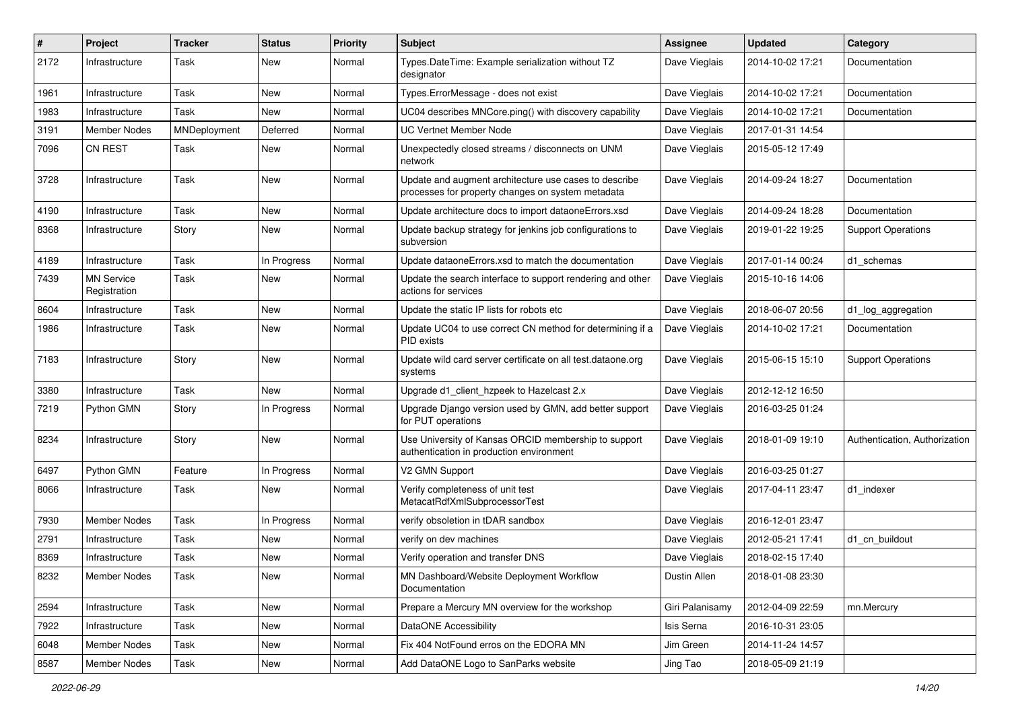| #    | Project                           | <b>Tracker</b> | <b>Status</b> | <b>Priority</b> | <b>Subject</b>                                                                                             | <b>Assignee</b> | <b>Updated</b>   | Category                      |
|------|-----------------------------------|----------------|---------------|-----------------|------------------------------------------------------------------------------------------------------------|-----------------|------------------|-------------------------------|
| 2172 | Infrastructure                    | Task           | New           | Normal          | Types.DateTime: Example serialization without TZ<br>designator                                             | Dave Vieglais   | 2014-10-02 17:21 | Documentation                 |
| 1961 | Infrastructure                    | Task           | <b>New</b>    | Normal          | Types.ErrorMessage - does not exist                                                                        | Dave Vieglais   | 2014-10-02 17:21 | Documentation                 |
| 1983 | Infrastructure                    | Task           | New           | Normal          | UC04 describes MNCore.ping() with discovery capability                                                     | Dave Vieglais   | 2014-10-02 17:21 | Documentation                 |
| 3191 | <b>Member Nodes</b>               | MNDeployment   | Deferred      | Normal          | <b>UC Vertnet Member Node</b>                                                                              | Dave Vieglais   | 2017-01-31 14:54 |                               |
| 7096 | <b>CN REST</b>                    | Task           | New           | Normal          | Unexpectedly closed streams / disconnects on UNM<br>network                                                | Dave Vieglais   | 2015-05-12 17:49 |                               |
| 3728 | Infrastructure                    | Task           | New           | Normal          | Update and augment architecture use cases to describe<br>processes for property changes on system metadata | Dave Vieglais   | 2014-09-24 18:27 | Documentation                 |
| 4190 | Infrastructure                    | Task           | <b>New</b>    | Normal          | Update architecture docs to import dataoneErrors.xsd                                                       | Dave Vieglais   | 2014-09-24 18:28 | Documentation                 |
| 8368 | Infrastructure                    | Story          | New           | Normal          | Update backup strategy for jenkins job configurations to<br>subversion                                     | Dave Vieglais   | 2019-01-22 19:25 | <b>Support Operations</b>     |
| 4189 | Infrastructure                    | Task           | In Progress   | Normal          | Update dataoneErrors.xsd to match the documentation                                                        | Dave Vieglais   | 2017-01-14 00:24 | d1 schemas                    |
| 7439 | <b>MN Service</b><br>Registration | Task           | New           | Normal          | Update the search interface to support rendering and other<br>actions for services                         | Dave Vieglais   | 2015-10-16 14:06 |                               |
| 8604 | Infrastructure                    | Task           | New           | Normal          | Update the static IP lists for robots etc                                                                  | Dave Vieglais   | 2018-06-07 20:56 | d1_log_aggregation            |
| 1986 | Infrastructure                    | Task           | New           | Normal          | Update UC04 to use correct CN method for determining if a<br>PID exists                                    | Dave Vieglais   | 2014-10-02 17:21 | Documentation                 |
| 7183 | Infrastructure                    | Story          | New           | Normal          | Update wild card server certificate on all test.dataone.org<br>systems                                     | Dave Vieglais   | 2015-06-15 15:10 | <b>Support Operations</b>     |
| 3380 | Infrastructure                    | Task           | New           | Normal          | Upgrade d1_client_hzpeek to Hazelcast 2.x                                                                  | Dave Vieglais   | 2012-12-12 16:50 |                               |
| 7219 | Python GMN                        | Story          | In Progress   | Normal          | Upgrade Django version used by GMN, add better support<br>for PUT operations                               | Dave Vieglais   | 2016-03-25 01:24 |                               |
| 8234 | Infrastructure                    | Story          | New           | Normal          | Use University of Kansas ORCID membership to support<br>authentication in production environment           | Dave Vieglais   | 2018-01-09 19:10 | Authentication, Authorization |
| 6497 | Python GMN                        | Feature        | In Progress   | Normal          | V2 GMN Support                                                                                             | Dave Vieglais   | 2016-03-25 01:27 |                               |
| 8066 | Infrastructure                    | Task           | New           | Normal          | Verify completeness of unit test<br>MetacatRdfXmlSubprocessorTest                                          | Dave Vieglais   | 2017-04-11 23:47 | d1 indexer                    |
| 7930 | <b>Member Nodes</b>               | Task           | In Progress   | Normal          | verify obsoletion in tDAR sandbox                                                                          | Dave Vieglais   | 2016-12-01 23:47 |                               |
| 2791 | Infrastructure                    | Task           | New           | Normal          | verify on dev machines                                                                                     | Dave Vieglais   | 2012-05-21 17:41 | d1 cn buildout                |
| 8369 | Infrastructure                    | Task           | New           | Normal          | Verify operation and transfer DNS                                                                          | Dave Vieglais   | 2018-02-15 17:40 |                               |
| 8232 | Member Nodes                      | Task           | New           | Normal          | MN Dashboard/Website Deployment Workflow<br>Documentation                                                  | Dustin Allen    | 2018-01-08 23:30 |                               |
| 2594 | Infrastructure                    | Task           | New           | Normal          | Prepare a Mercury MN overview for the workshop                                                             | Giri Palanisamy | 2012-04-09 22:59 | mn.Mercury                    |
| 7922 | Infrastructure                    | Task           | New           | Normal          | DataONE Accessibility                                                                                      | Isis Serna      | 2016-10-31 23:05 |                               |
| 6048 | Member Nodes                      | Task           | New           | Normal          | Fix 404 NotFound erros on the EDORA MN                                                                     | Jim Green       | 2014-11-24 14:57 |                               |
| 8587 | Member Nodes                      | Task           | New           | Normal          | Add DataONE Logo to SanParks website                                                                       | Jing Tao        | 2018-05-09 21:19 |                               |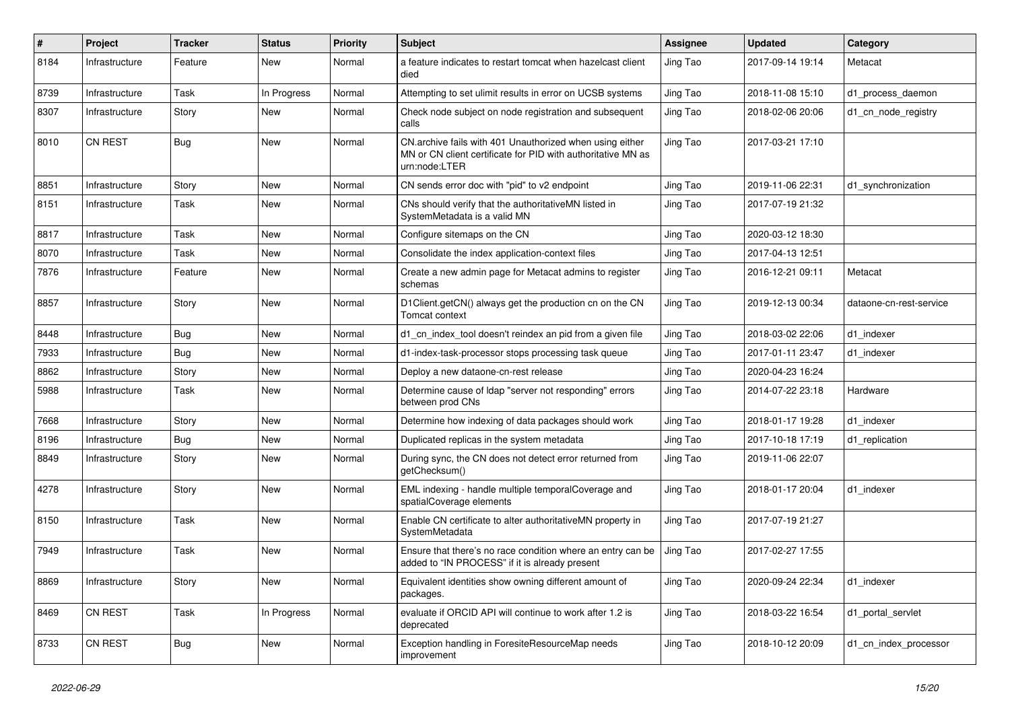| #    | Project        | <b>Tracker</b> | <b>Status</b> | <b>Priority</b> | <b>Subject</b>                                                                                                                            | <b>Assignee</b> | <b>Updated</b>   | Category                |
|------|----------------|----------------|---------------|-----------------|-------------------------------------------------------------------------------------------------------------------------------------------|-----------------|------------------|-------------------------|
| 8184 | Infrastructure | Feature        | New           | Normal          | a feature indicates to restart tomcat when hazelcast client<br>died                                                                       | Jing Tao        | 2017-09-14 19:14 | Metacat                 |
| 8739 | Infrastructure | Task           | In Progress   | Normal          | Attempting to set ulimit results in error on UCSB systems                                                                                 | Jing Tao        | 2018-11-08 15:10 | d1_process_daemon       |
| 8307 | Infrastructure | Story          | New           | Normal          | Check node subject on node registration and subsequent<br>calls                                                                           | Jing Tao        | 2018-02-06 20:06 | d1 cn node registry     |
| 8010 | <b>CN REST</b> | Bug            | New           | Normal          | CN.archive fails with 401 Unauthorized when using either<br>MN or CN client certificate for PID with authoritative MN as<br>urn:node:LTER | Jing Tao        | 2017-03-21 17:10 |                         |
| 8851 | Infrastructure | Story          | New           | Normal          | CN sends error doc with "pid" to v2 endpoint                                                                                              | Jing Tao        | 2019-11-06 22:31 | d1_synchronization      |
| 8151 | Infrastructure | Task           | New           | Normal          | CNs should verify that the authoritativeMN listed in<br>SystemMetadata is a valid MN                                                      | Jing Tao        | 2017-07-19 21:32 |                         |
| 8817 | Infrastructure | Task           | New           | Normal          | Configure sitemaps on the CN                                                                                                              | Jing Tao        | 2020-03-12 18:30 |                         |
| 8070 | Infrastructure | Task           | New           | Normal          | Consolidate the index application-context files                                                                                           | Jing Tao        | 2017-04-13 12:51 |                         |
| 7876 | Infrastructure | Feature        | New           | Normal          | Create a new admin page for Metacat admins to register<br>schemas                                                                         | Jing Tao        | 2016-12-21 09:11 | Metacat                 |
| 8857 | Infrastructure | Story          | New           | Normal          | D1Client.getCN() always get the production cn on the CN<br>Tomcat context                                                                 | Jing Tao        | 2019-12-13 00:34 | dataone-cn-rest-service |
| 8448 | Infrastructure | <b>Bug</b>     | New           | Normal          | d1_cn_index_tool doesn't reindex an pid from a given file                                                                                 | Jing Tao        | 2018-03-02 22:06 | d1_indexer              |
| 7933 | Infrastructure | <b>Bug</b>     | New           | Normal          | d1-index-task-processor stops processing task queue                                                                                       | Jing Tao        | 2017-01-11 23:47 | d1_indexer              |
| 8862 | Infrastructure | Story          | New           | Normal          | Deploy a new dataone-cn-rest release                                                                                                      | Jing Tao        | 2020-04-23 16:24 |                         |
| 5988 | Infrastructure | Task           | New           | Normal          | Determine cause of Idap "server not responding" errors<br>between prod CNs                                                                | Jing Tao        | 2014-07-22 23:18 | Hardware                |
| 7668 | Infrastructure | Story          | New           | Normal          | Determine how indexing of data packages should work                                                                                       | Jing Tao        | 2018-01-17 19:28 | d1_indexer              |
| 8196 | Infrastructure | <b>Bug</b>     | New           | Normal          | Duplicated replicas in the system metadata                                                                                                | Jing Tao        | 2017-10-18 17:19 | d1_replication          |
| 8849 | Infrastructure | Story          | New           | Normal          | During sync, the CN does not detect error returned from<br>getChecksum()                                                                  | Jing Tao        | 2019-11-06 22:07 |                         |
| 4278 | Infrastructure | Story          | New           | Normal          | EML indexing - handle multiple temporalCoverage and<br>spatialCoverage elements                                                           | Jing Tao        | 2018-01-17 20:04 | d1_indexer              |
| 8150 | Infrastructure | Task           | New           | Normal          | Enable CN certificate to alter authoritativeMN property in<br>SystemMetadata                                                              | Jing Tao        | 2017-07-19 21:27 |                         |
| 7949 | Infrastructure | Task           | New           | Normal          | Ensure that there's no race condition where an entry can be<br>added to "IN PROCESS" if it is already present                             | Jing Tao        | 2017-02-27 17:55 |                         |
| 8869 | Infrastructure | Story          | New           | Normal          | Equivalent identities show owning different amount of<br>packages.                                                                        | Jing Tao        | 2020-09-24 22:34 | d1 indexer              |
| 8469 | CN REST        | Task           | In Progress   | Normal          | evaluate if ORCID API will continue to work after 1.2 is<br>deprecated                                                                    | Jing Tao        | 2018-03-22 16:54 | d1_portal_servlet       |
| 8733 | CN REST        | <b>Bug</b>     | New           | Normal          | Exception handling in ForesiteResourceMap needs<br>improvement                                                                            | Jing Tao        | 2018-10-12 20:09 | d1_cn_index_processor   |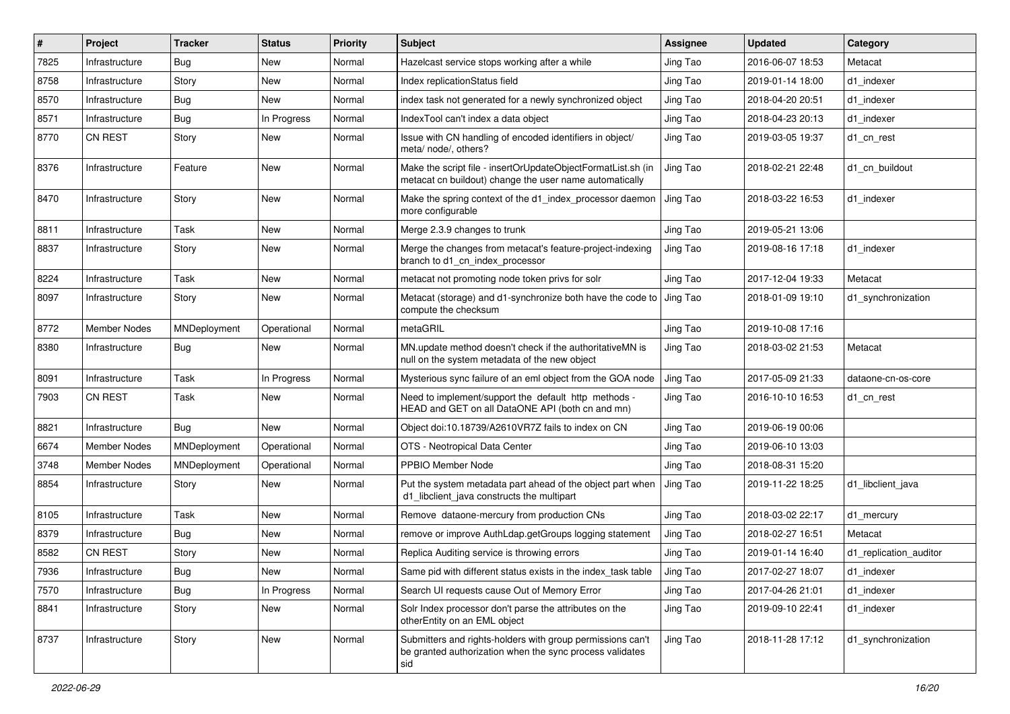| #    | Project             | <b>Tracker</b> | <b>Status</b> | <b>Priority</b> | Subject                                                                                                                       | <b>Assignee</b> | <b>Updated</b>   | Category               |
|------|---------------------|----------------|---------------|-----------------|-------------------------------------------------------------------------------------------------------------------------------|-----------------|------------------|------------------------|
| 7825 | Infrastructure      | <b>Bug</b>     | New           | Normal          | Hazelcast service stops working after a while                                                                                 | Jing Tao        | 2016-06-07 18:53 | Metacat                |
| 8758 | Infrastructure      | Story          | New           | Normal          | Index replicationStatus field                                                                                                 | Jing Tao        | 2019-01-14 18:00 | d1_indexer             |
| 8570 | Infrastructure      | Bug            | New           | Normal          | index task not generated for a newly synchronized object                                                                      | Jing Tao        | 2018-04-20 20:51 | d1 indexer             |
| 8571 | Infrastructure      | Bug            | In Progress   | Normal          | IndexTool can't index a data object                                                                                           | Jing Tao        | 2018-04-23 20:13 | d1 indexer             |
| 8770 | <b>CN REST</b>      | Story          | New           | Normal          | Issue with CN handling of encoded identifiers in object/<br>meta/ node/, others?                                              | Jing Tao        | 2019-03-05 19:37 | d1_cn_rest             |
| 8376 | Infrastructure      | Feature        | New           | Normal          | Make the script file - insertOrUpdateObjectFormatList.sh (in<br>metacat cn buildout) change the user name automatically       | Jing Tao        | 2018-02-21 22:48 | d1 cn buildout         |
| 8470 | Infrastructure      | Story          | New           | Normal          | Make the spring context of the d1 index processor daemon<br>more configurable                                                 | Jing Tao        | 2018-03-22 16:53 | d1 indexer             |
| 8811 | Infrastructure      | Task           | New           | Normal          | Merge 2.3.9 changes to trunk                                                                                                  | Jing Tao        | 2019-05-21 13:06 |                        |
| 8837 | Infrastructure      | Story          | New           | Normal          | Merge the changes from metacat's feature-project-indexing<br>branch to d1_cn_index_processor                                  | Jing Tao        | 2019-08-16 17:18 | d1 indexer             |
| 8224 | Infrastructure      | Task           | New           | Normal          | metacat not promoting node token privs for solr                                                                               | Jing Tao        | 2017-12-04 19:33 | Metacat                |
| 8097 | Infrastructure      | Story          | New           | Normal          | Metacat (storage) and d1-synchronize both have the code to J Jing Tao<br>compute the checksum                                 |                 | 2018-01-09 19:10 | d1 synchronization     |
| 8772 | Member Nodes        | MNDeployment   | Operational   | Normal          | metaGRIL                                                                                                                      | Jing Tao        | 2019-10-08 17:16 |                        |
| 8380 | Infrastructure      | Bug            | New           | Normal          | MN.update method doesn't check if the authoritativeMN is<br>null on the system metadata of the new object                     | Jing Tao        | 2018-03-02 21:53 | Metacat                |
| 8091 | Infrastructure      | Task           | In Progress   | Normal          | Mysterious sync failure of an eml object from the GOA node                                                                    | Jing Tao        | 2017-05-09 21:33 | dataone-cn-os-core     |
| 7903 | <b>CN REST</b>      | Task           | New           | Normal          | Need to implement/support the default http methods -<br>HEAD and GET on all DataONE API (both cn and mn)                      | Jing Tao        | 2016-10-10 16:53 | d1 cn rest             |
| 8821 | Infrastructure      | Bug            | New           | Normal          | Object doi:10.18739/A2610VR7Z fails to index on CN                                                                            | Jing Tao        | 2019-06-19 00:06 |                        |
| 6674 | <b>Member Nodes</b> | MNDeployment   | Operational   | Normal          | OTS - Neotropical Data Center                                                                                                 | Jing Tao        | 2019-06-10 13:03 |                        |
| 3748 | Member Nodes        | MNDeployment   | Operational   | Normal          | PPBIO Member Node                                                                                                             | Jing Tao        | 2018-08-31 15:20 |                        |
| 8854 | Infrastructure      | Story          | New           | Normal          | Put the system metadata part ahead of the object part when<br>d1_libclient_java constructs the multipart                      | Jing Tao        | 2019-11-22 18:25 | d1 libclient java      |
| 8105 | Infrastructure      | Task           | New           | Normal          | Remove dataone-mercury from production CNs                                                                                    | Jing Tao        | 2018-03-02 22:17 | d1 mercury             |
| 8379 | Infrastructure      | Bug            | New           | Normal          | remove or improve AuthLdap.getGroups logging statement                                                                        | Jing Tao        | 2018-02-27 16:51 | Metacat                |
| 8582 | CN REST             | Story          | New           | Normal          | Replica Auditing service is throwing errors                                                                                   | Jing Tao        | 2019-01-14 16:40 | d1_replication_auditor |
| 7936 | Infrastructure      | Bug            | New           | Normal          | Same pid with different status exists in the index_task table                                                                 | Jing Tao        | 2017-02-27 18:07 | d1_indexer             |
| 7570 | Infrastructure      | Bug            | In Progress   | Normal          | Search UI requests cause Out of Memory Error                                                                                  | Jing Tao        | 2017-04-26 21:01 | d1 indexer             |
| 8841 | Infrastructure      | Story          | New           | Normal          | Solr Index processor don't parse the attributes on the<br>otherEntity on an EML object                                        | Jing Tao        | 2019-09-10 22:41 | d1_indexer             |
| 8737 | Infrastructure      | Story          | New           | Normal          | Submitters and rights-holders with group permissions can't<br>be granted authorization when the sync process validates<br>sid | Jing Tao        | 2018-11-28 17:12 | d1_synchronization     |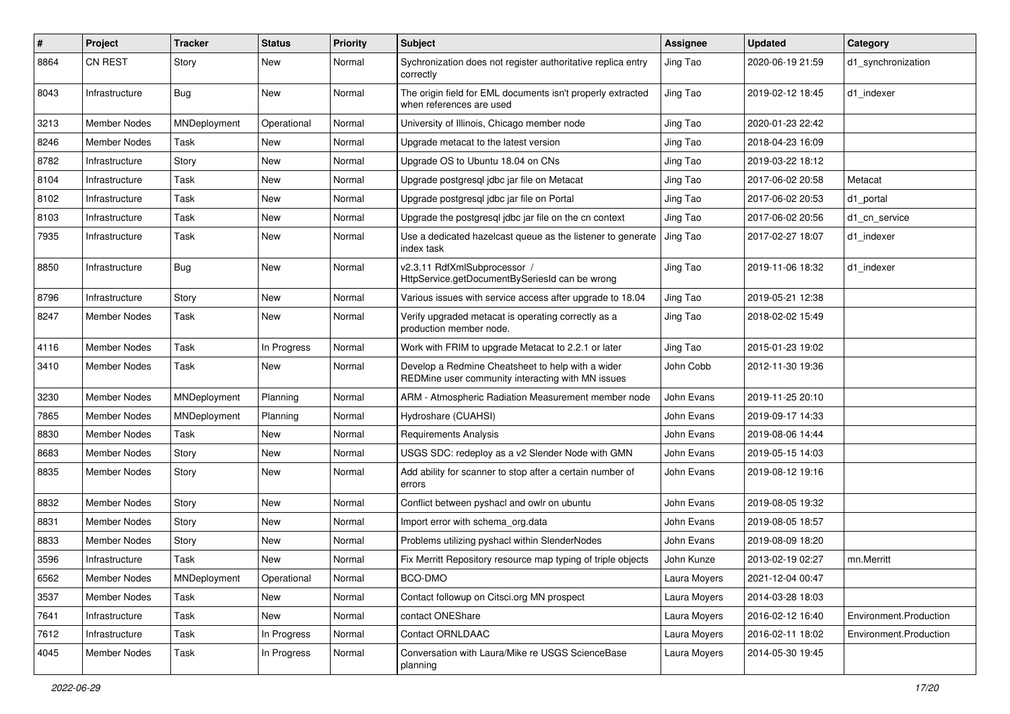| #    | Project             | <b>Tracker</b> | <b>Status</b> | <b>Priority</b> | <b>Subject</b>                                                                                         | <b>Assignee</b> | <b>Updated</b>   | Category               |
|------|---------------------|----------------|---------------|-----------------|--------------------------------------------------------------------------------------------------------|-----------------|------------------|------------------------|
| 8864 | <b>CN REST</b>      | Story          | New           | Normal          | Sychronization does not register authoritative replica entry<br>correctly                              | Jing Tao        | 2020-06-19 21:59 | d1 synchronization     |
| 8043 | Infrastructure      | <b>Bug</b>     | New           | Normal          | The origin field for EML documents isn't properly extracted<br>when references are used                | Jing Tao        | 2019-02-12 18:45 | d1_indexer             |
| 3213 | <b>Member Nodes</b> | MNDeployment   | Operational   | Normal          | University of Illinois, Chicago member node                                                            | Jing Tao        | 2020-01-23 22:42 |                        |
| 8246 | Member Nodes        | Task           | New           | Normal          | Upgrade metacat to the latest version                                                                  | Jing Tao        | 2018-04-23 16:09 |                        |
| 8782 | Infrastructure      | Story          | New           | Normal          | Upgrade OS to Ubuntu 18.04 on CNs                                                                      | Jing Tao        | 2019-03-22 18:12 |                        |
| 8104 | Infrastructure      | Task           | New           | Normal          | Upgrade postgresql jdbc jar file on Metacat                                                            | Jing Tao        | 2017-06-02 20:58 | Metacat                |
| 8102 | Infrastructure      | Task           | New           | Normal          | Upgrade postgresql jdbc jar file on Portal                                                             | Jing Tao        | 2017-06-02 20:53 | d1 portal              |
| 8103 | Infrastructure      | Task           | New           | Normal          | Upgrade the postgresql jdbc jar file on the cn context                                                 | Jing Tao        | 2017-06-02 20:56 | d1 cn service          |
| 7935 | Infrastructure      | Task           | New           | Normal          | Use a dedicated hazelcast queue as the listener to generate<br>index task                              | Jing Tao        | 2017-02-27 18:07 | d1 indexer             |
| 8850 | Infrastructure      | Bug            | New           | Normal          | v2.3.11 RdfXmlSubprocessor /<br>HttpService.getDocumentBySeriesId can be wrong                         | Jing Tao        | 2019-11-06 18:32 | d1_indexer             |
| 8796 | Infrastructure      | Story          | New           | Normal          | Various issues with service access after upgrade to 18.04                                              | Jing Tao        | 2019-05-21 12:38 |                        |
| 8247 | Member Nodes        | Task           | New           | Normal          | Verify upgraded metacat is operating correctly as a<br>production member node.                         | Jing Tao        | 2018-02-02 15:49 |                        |
| 4116 | <b>Member Nodes</b> | Task           | In Progress   | Normal          | Work with FRIM to upgrade Metacat to 2.2.1 or later                                                    | Jing Tao        | 2015-01-23 19:02 |                        |
| 3410 | Member Nodes        | Task           | New           | Normal          | Develop a Redmine Cheatsheet to help with a wider<br>REDMine user community interacting with MN issues | John Cobb       | 2012-11-30 19:36 |                        |
| 3230 | <b>Member Nodes</b> | MNDeployment   | Planning      | Normal          | ARM - Atmospheric Radiation Measurement member node                                                    | John Evans      | 2019-11-25 20:10 |                        |
| 7865 | Member Nodes        | MNDeployment   | Planning      | Normal          | Hydroshare (CUAHSI)                                                                                    | John Evans      | 2019-09-17 14:33 |                        |
| 8830 | Member Nodes        | Task           | New           | Normal          | <b>Requirements Analysis</b>                                                                           | John Evans      | 2019-08-06 14:44 |                        |
| 8683 | Member Nodes        | Story          | New           | Normal          | USGS SDC: redeploy as a v2 Slender Node with GMN                                                       | John Evans      | 2019-05-15 14:03 |                        |
| 8835 | Member Nodes        | Story          | New           | Normal          | Add ability for scanner to stop after a certain number of<br>errors                                    | John Evans      | 2019-08-12 19:16 |                        |
| 8832 | <b>Member Nodes</b> | Story          | New           | Normal          | Conflict between pyshacl and owlr on ubuntu                                                            | John Evans      | 2019-08-05 19:32 |                        |
| 8831 | Member Nodes        | Story          | New           | Normal          | Import error with schema org.data                                                                      | John Evans      | 2019-08-05 18:57 |                        |
| 8833 | <b>Member Nodes</b> | Story          | New           | Normal          | Problems utilizing pyshacl within SlenderNodes                                                         | John Evans      | 2019-08-09 18:20 |                        |
| 3596 | Infrastructure      | Task           | New           | Normal          | Fix Merritt Repository resource map typing of triple objects                                           | John Kunze      | 2013-02-19 02:27 | mn.Merritt             |
| 6562 | Member Nodes        | MNDeployment   | Operational   | Normal          | BCO-DMO                                                                                                | Laura Moyers    | 2021-12-04 00:47 |                        |
| 3537 | Member Nodes        | Task           | New           | Normal          | Contact followup on Citsci.org MN prospect                                                             | Laura Moyers    | 2014-03-28 18:03 |                        |
| 7641 | Infrastructure      | Task           | New           | Normal          | contact ONEShare                                                                                       | Laura Moyers    | 2016-02-12 16:40 | Environment.Production |
| 7612 | Infrastructure      | Task           | In Progress   | Normal          | Contact ORNLDAAC                                                                                       | Laura Moyers    | 2016-02-11 18:02 | Environment.Production |
| 4045 | Member Nodes        | Task           | In Progress   | Normal          | Conversation with Laura/Mike re USGS ScienceBase<br>planning                                           | Laura Moyers    | 2014-05-30 19:45 |                        |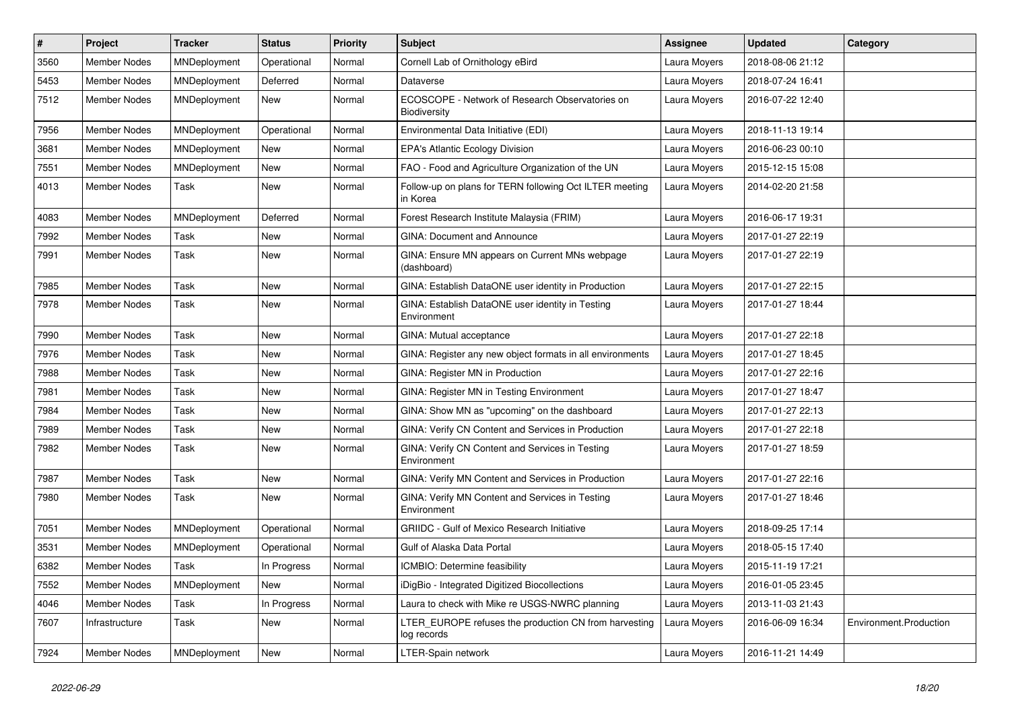| #    | Project             | <b>Tracker</b> | <b>Status</b> | <b>Priority</b> | <b>Subject</b>                                                       | <b>Assignee</b> | <b>Updated</b>   | Category               |
|------|---------------------|----------------|---------------|-----------------|----------------------------------------------------------------------|-----------------|------------------|------------------------|
| 3560 | <b>Member Nodes</b> | MNDeployment   | Operational   | Normal          | Cornell Lab of Ornithology eBird                                     | Laura Moyers    | 2018-08-06 21:12 |                        |
| 5453 | <b>Member Nodes</b> | MNDeployment   | Deferred      | Normal          | Dataverse                                                            | Laura Moyers    | 2018-07-24 16:41 |                        |
| 7512 | <b>Member Nodes</b> | MNDeployment   | New           | Normal          | ECOSCOPE - Network of Research Observatories on<br>Biodiversity      | Laura Moyers    | 2016-07-22 12:40 |                        |
| 7956 | <b>Member Nodes</b> | MNDeployment   | Operational   | Normal          | Environmental Data Initiative (EDI)                                  | Laura Moyers    | 2018-11-13 19:14 |                        |
| 3681 | <b>Member Nodes</b> | MNDeployment   | New           | Normal          | <b>EPA's Atlantic Ecology Division</b>                               | Laura Moyers    | 2016-06-23 00:10 |                        |
| 7551 | <b>Member Nodes</b> | MNDeployment   | <b>New</b>    | Normal          | FAO - Food and Agriculture Organization of the UN                    | Laura Moyers    | 2015-12-15 15:08 |                        |
| 4013 | Member Nodes        | Task           | New           | Normal          | Follow-up on plans for TERN following Oct ILTER meeting<br>in Korea  | Laura Moyers    | 2014-02-20 21:58 |                        |
| 4083 | Member Nodes        | MNDeployment   | Deferred      | Normal          | Forest Research Institute Malaysia (FRIM)                            | Laura Moyers    | 2016-06-17 19:31 |                        |
| 7992 | <b>Member Nodes</b> | Task           | New           | Normal          | <b>GINA: Document and Announce</b>                                   | Laura Moyers    | 2017-01-27 22:19 |                        |
| 7991 | Member Nodes        | Task           | New           | Normal          | GINA: Ensure MN appears on Current MNs webpage<br>(dashboard)        | Laura Moyers    | 2017-01-27 22:19 |                        |
| 7985 | Member Nodes        | Task           | New           | Normal          | GINA: Establish DataONE user identity in Production                  | Laura Moyers    | 2017-01-27 22:15 |                        |
| 7978 | Member Nodes        | Task           | New           | Normal          | GINA: Establish DataONE user identity in Testing<br>Environment      | Laura Moyers    | 2017-01-27 18:44 |                        |
| 7990 | <b>Member Nodes</b> | Task           | New           | Normal          | GINA: Mutual acceptance                                              | Laura Moyers    | 2017-01-27 22:18 |                        |
| 7976 | <b>Member Nodes</b> | Task           | New           | Normal          | GINA: Register any new object formats in all environments            | Laura Moyers    | 2017-01-27 18:45 |                        |
| 7988 | <b>Member Nodes</b> | Task           | New           | Normal          | GINA: Register MN in Production                                      | Laura Moyers    | 2017-01-27 22:16 |                        |
| 7981 | Member Nodes        | Task           | New           | Normal          | GINA: Register MN in Testing Environment                             | Laura Moyers    | 2017-01-27 18:47 |                        |
| 7984 | <b>Member Nodes</b> | Task           | New           | Normal          | GINA: Show MN as "upcoming" on the dashboard                         | Laura Moyers    | 2017-01-27 22:13 |                        |
| 7989 | <b>Member Nodes</b> | Task           | New           | Normal          | GINA: Verify CN Content and Services in Production                   | Laura Moyers    | 2017-01-27 22:18 |                        |
| 7982 | Member Nodes        | Task           | New           | Normal          | GINA: Verify CN Content and Services in Testing<br>Environment       | Laura Moyers    | 2017-01-27 18:59 |                        |
| 7987 | Member Nodes        | Task           | New           | Normal          | GINA: Verify MN Content and Services in Production                   | Laura Moyers    | 2017-01-27 22:16 |                        |
| 7980 | <b>Member Nodes</b> | Task           | New           | Normal          | GINA: Verify MN Content and Services in Testing<br>Environment       | Laura Moyers    | 2017-01-27 18:46 |                        |
| 7051 | <b>Member Nodes</b> | MNDeployment   | Operational   | Normal          | <b>GRIIDC</b> - Gulf of Mexico Research Initiative                   | Laura Moyers    | 2018-09-25 17:14 |                        |
| 3531 | <b>Member Nodes</b> | MNDeployment   | Operational   | Normal          | Gulf of Alaska Data Portal                                           | Laura Moyers    | 2018-05-15 17:40 |                        |
| 6382 | <b>Member Nodes</b> | Task           | In Progress   | Normal          | ICMBIO: Determine feasibility                                        | Laura Moyers    | 2015-11-19 17:21 |                        |
| 7552 | Member Nodes        | MNDeployment   | New           | Normal          | iDigBio - Integrated Digitized Biocollections                        | Laura Moyers    | 2016-01-05 23:45 |                        |
| 4046 | Member Nodes        | Task           | In Progress   | Normal          | Laura to check with Mike re USGS-NWRC planning                       | Laura Moyers    | 2013-11-03 21:43 |                        |
| 7607 | Infrastructure      | Task           | New           | Normal          | LTER EUROPE refuses the production CN from harvesting<br>log records | Laura Moyers    | 2016-06-09 16:34 | Environment.Production |
| 7924 | Member Nodes        | MNDeployment   | New           | Normal          | LTER-Spain network                                                   | Laura Moyers    | 2016-11-21 14:49 |                        |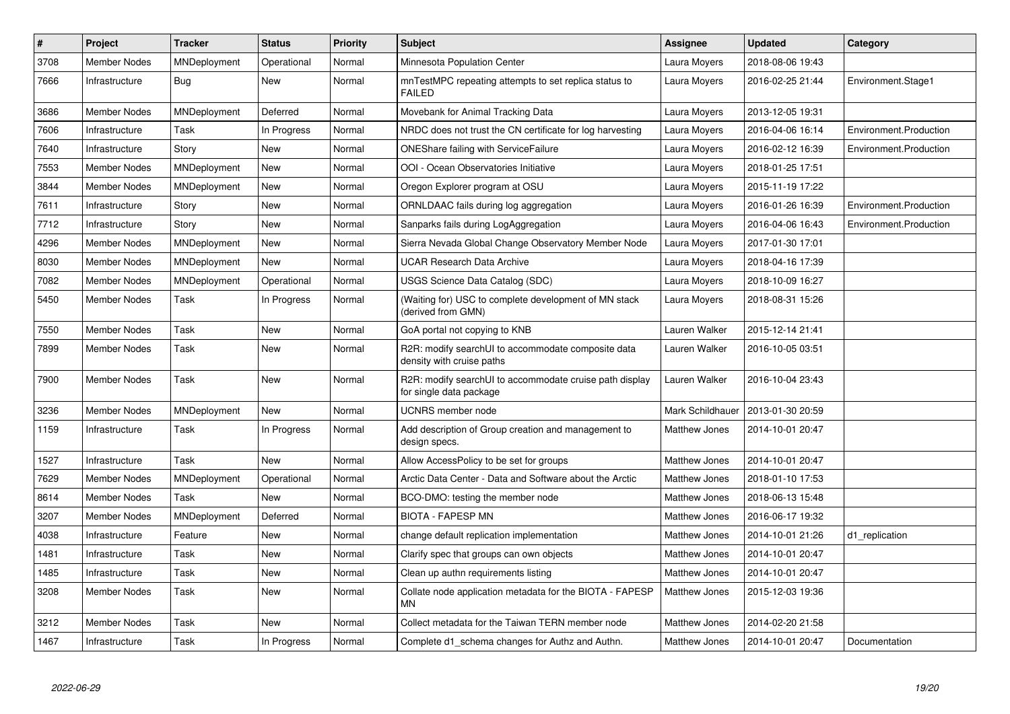| $\#$ | Project             | <b>Tracker</b> | <b>Status</b> | <b>Priority</b> | <b>Subject</b>                                                                     | Assignee             | <b>Updated</b>   | Category               |
|------|---------------------|----------------|---------------|-----------------|------------------------------------------------------------------------------------|----------------------|------------------|------------------------|
| 3708 | <b>Member Nodes</b> | MNDeployment   | Operational   | Normal          | Minnesota Population Center                                                        | Laura Moyers         | 2018-08-06 19:43 |                        |
| 7666 | Infrastructure      | Bug            | New           | Normal          | mnTestMPC repeating attempts to set replica status to<br><b>FAILED</b>             | Laura Moyers         | 2016-02-25 21:44 | Environment.Stage1     |
| 3686 | Member Nodes        | MNDeployment   | Deferred      | Normal          | Movebank for Animal Tracking Data                                                  | Laura Moyers         | 2013-12-05 19:31 |                        |
| 7606 | Infrastructure      | Task           | In Progress   | Normal          | NRDC does not trust the CN certificate for log harvesting                          | Laura Moyers         | 2016-04-06 16:14 | Environment.Production |
| 7640 | Infrastructure      | Story          | <b>New</b>    | Normal          | <b>ONEShare failing with ServiceFailure</b>                                        | Laura Moyers         | 2016-02-12 16:39 | Environment.Production |
| 7553 | Member Nodes        | MNDeployment   | <b>New</b>    | Normal          | OOI - Ocean Observatories Initiative                                               | Laura Moyers         | 2018-01-25 17:51 |                        |
| 3844 | <b>Member Nodes</b> | MNDeployment   | <b>New</b>    | Normal          | Oregon Explorer program at OSU                                                     | Laura Moyers         | 2015-11-19 17:22 |                        |
| 7611 | Infrastructure      | Story          | <b>New</b>    | Normal          | ORNLDAAC fails during log aggregation                                              | Laura Moyers         | 2016-01-26 16:39 | Environment.Production |
| 7712 | Infrastructure      | Story          | <b>New</b>    | Normal          | Sanparks fails during LogAggregation                                               | Laura Moyers         | 2016-04-06 16:43 | Environment.Production |
| 4296 | <b>Member Nodes</b> | MNDeployment   | <b>New</b>    | Normal          | Sierra Nevada Global Change Observatory Member Node                                | Laura Moyers         | 2017-01-30 17:01 |                        |
| 8030 | <b>Member Nodes</b> | MNDeployment   | <b>New</b>    | Normal          | <b>UCAR Research Data Archive</b>                                                  | Laura Moyers         | 2018-04-16 17:39 |                        |
| 7082 | <b>Member Nodes</b> | MNDeployment   | Operational   | Normal          | USGS Science Data Catalog (SDC)                                                    | Laura Moyers         | 2018-10-09 16:27 |                        |
| 5450 | Member Nodes        | Task           | In Progress   | Normal          | (Waiting for) USC to complete development of MN stack<br>(derived from GMN)        | Laura Moyers         | 2018-08-31 15:26 |                        |
| 7550 | <b>Member Nodes</b> | Task           | <b>New</b>    | Normal          | GoA portal not copying to KNB                                                      | Lauren Walker        | 2015-12-14 21:41 |                        |
| 7899 | Member Nodes        | Task           | New           | Normal          | R2R: modify searchUI to accommodate composite data<br>density with cruise paths    | Lauren Walker        | 2016-10-05 03:51 |                        |
| 7900 | <b>Member Nodes</b> | Task           | <b>New</b>    | Normal          | R2R: modify searchUI to accommodate cruise path display<br>for single data package | Lauren Walker        | 2016-10-04 23:43 |                        |
| 3236 | <b>Member Nodes</b> | MNDeployment   | <b>New</b>    | Normal          | <b>UCNRS</b> member node                                                           | Mark Schildhauer     | 2013-01-30 20:59 |                        |
| 1159 | Infrastructure      | Task           | In Progress   | Normal          | Add description of Group creation and management to<br>design specs.               | <b>Matthew Jones</b> | 2014-10-01 20:47 |                        |
| 1527 | Infrastructure      | Task           | <b>New</b>    | Normal          | Allow AccessPolicy to be set for groups                                            | Matthew Jones        | 2014-10-01 20:47 |                        |
| 7629 | Member Nodes        | MNDeployment   | Operational   | Normal          | Arctic Data Center - Data and Software about the Arctic                            | <b>Matthew Jones</b> | 2018-01-10 17:53 |                        |
| 8614 | <b>Member Nodes</b> | Task           | <b>New</b>    | Normal          | BCO-DMO: testing the member node                                                   | Matthew Jones        | 2018-06-13 15:48 |                        |
| 3207 | <b>Member Nodes</b> | MNDeployment   | Deferred      | Normal          | <b>BIOTA - FAPESP MN</b>                                                           | <b>Matthew Jones</b> | 2016-06-17 19:32 |                        |
| 4038 | Infrastructure      | Feature        | <b>New</b>    | Normal          | change default replication implementation                                          | <b>Matthew Jones</b> | 2014-10-01 21:26 | d1 replication         |
| 1481 | Infrastructure      | Task           | New           | Normal          | Clarify spec that groups can own objects                                           | Matthew Jones        | 2014-10-01 20:47 |                        |
| 1485 | Infrastructure      | Task           | New           | Normal          | Clean up authn requirements listing                                                | <b>Matthew Jones</b> | 2014-10-01 20:47 |                        |
| 3208 | <b>Member Nodes</b> | Task           | <b>New</b>    | Normal          | Collate node application metadata for the BIOTA - FAPESP<br>MN                     | <b>Matthew Jones</b> | 2015-12-03 19:36 |                        |
| 3212 | <b>Member Nodes</b> | Task           | New           | Normal          | Collect metadata for the Taiwan TERN member node                                   | Matthew Jones        | 2014-02-20 21:58 |                        |
| 1467 | Infrastructure      | Task           | In Progress   | Normal          | Complete d1_schema changes for Authz and Authn.                                    | <b>Matthew Jones</b> | 2014-10-01 20:47 | Documentation          |